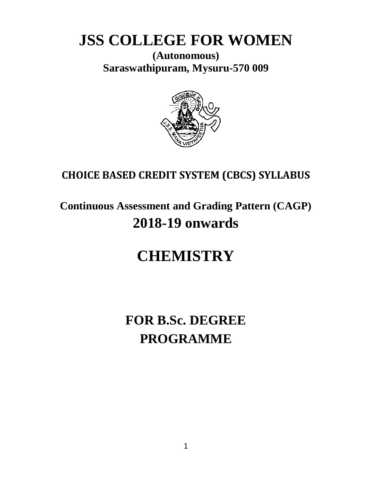# **JSS COLLEGE FOR WOMEN**

**(Autonomous) Saraswathipuram, Mysuru-570 009**



# **CHOICE BASED CREDIT SYSTEM (CBCS) SYLLABUS**

# **Continuous Assessment and Grading Pattern (CAGP) 2018-19 onwards**

# **CHEMISTRY**

# **FOR B.Sc. DEGREE PROGRAMME**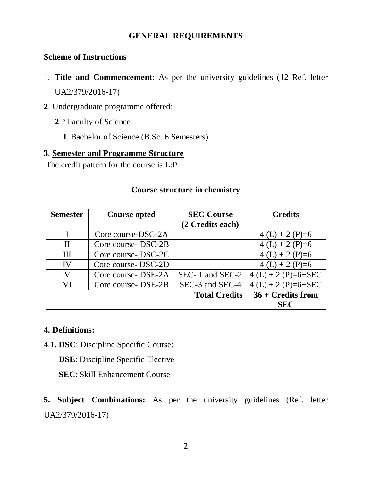### **GENERAL REQUIREMENTS**

### **Scheme of Instructions**

- 1. **Title and Commencement**: As per the university guidelines (12 Ref. letter UA2/379/2016-17)
- **2**. Undergraduate programme offered:
	- **2**.2 Faculty of Science
		- **I**. Bachelor of Science (B.Sc. 6 Semesters)

### **3**. **Semester and Programme Structure**

The credit pattern for the course is L:P

### **Course structure in chemistry**

| <b>Semester</b> | <b>Course opted</b> | <b>SEC Course</b>    | <b>Credits</b>       |
|-----------------|---------------------|----------------------|----------------------|
|                 |                     | (2 Credits each)     |                      |
|                 | Core course-DSC-2A  |                      | $4(L) + 2(P)=6$      |
| $\mathbf{I}$    | Core course DSC-2B  |                      | $4(L) + 2(P)=6$      |
| $\mathbf{H}$    | Core course-DSC-2C  |                      | $4(L) + 2(P)=6$      |
| IV              | Core course-DSC-2D  |                      | $4(L) + 2(P)=6$      |
| V               | Core course DSE-2A  | SEC-1 and SEC-2      | $4(L) + 2(P)=6+SEC$  |
| VI              | Core course DSE-2B  | SEC-3 and SEC-4      | $4(L) + 2(P)=6+SEC$  |
|                 |                     | <b>Total Credits</b> | $36 + C$ redits from |
|                 |                     |                      | <b>SEC</b>           |

### **4. Definitions:**

4.1**. DSC**: Discipline Specific Course:

**DSE**: Discipline Specific Elective

**SEC**: Skill Enhancement Course

**5. Subject Combinations:** As per the university guidelines (Ref. letter UA2/379/2016-17)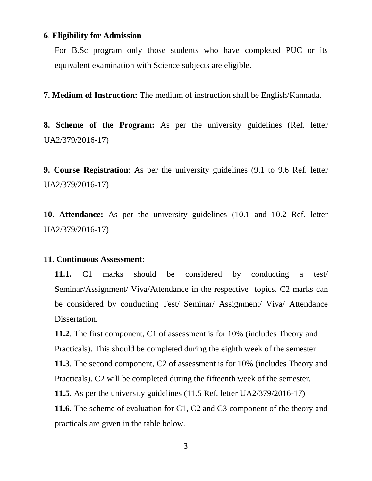### **6**. **Eligibility for Admission**

For B.Sc program only those students who have completed PUC or its equivalent examination with Science subjects are eligible.

**7. Medium of Instruction:** The medium of instruction shall be English/Kannada.

**8. Scheme of the Program:** As per the university guidelines (Ref. letter UA2/379/2016-17)

**9. Course Registration**: As per the university guidelines (9.1 to 9.6 Ref. letter UA2/379/2016-17)

**10**. **Attendance:** As per the university guidelines (10.1 and 10.2 Ref. letter UA2/379/2016-17)

### **11. Continuous Assessment:**

**11.1.** C1 marks should be considered by conducting a test/ Seminar/Assignment/ Viva/Attendance in the respective topics. C2 marks can be considered by conducting Test/ Seminar/ Assignment/ Viva/ Attendance Dissertation.

**11.2**. The first component, C1 of assessment is for 10% (includes Theory and Practicals). This should be completed during the eighth week of the semester **11.3**. The second component, C2 of assessment is for 10% (includes Theory and Practicals). C2 will be completed during the fifteenth week of the semester. **11.5**. As per the university guidelines (11.5 Ref. letter UA2/379/2016-17) **11.6**. The scheme of evaluation for C1, C2 and C3 component of the theory and practicals are given in the table below.

3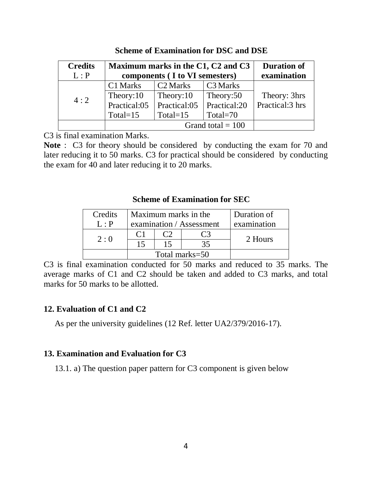| <b>Credits</b> | Maximum marks in the C1, C2 and C3 |                      |                      | <b>Duration of</b> |
|----------------|------------------------------------|----------------------|----------------------|--------------------|
| L : P          | components (I to VI semesters)     |                      |                      | examination        |
|                | C1 Marks                           | C <sub>2</sub> Marks | C <sub>3</sub> Marks |                    |
| 4:2            | Theory:10                          | Theory:10            | Theory:50            | Theory: 3hrs       |
|                | Practical:05                       | Practical:05         | Practical:20         | Practical:3 hrs    |
|                | Total= $15$                        | Total= $15$          | Total= $70$          |                    |
|                |                                    |                      | Grand total $= 100$  |                    |

**Scheme of Examination for DSC and DSE**

C3 is final examination Marks.

**Note** : C3 for theory should be considered by conducting the exam for 70 and later reducing it to 50 marks. C3 for practical should be considered by conducting the exam for 40 and later reducing it to 20 marks.

### **Scheme of Examination for SEC**

| Credits | Maximum marks in the     |  |  | Duration of |
|---------|--------------------------|--|--|-------------|
| L : P   | examination / Assessment |  |  | examination |
| 2:0     |                          |  |  | 2 Hours     |
|         | 15                       |  |  |             |
|         | Total marks=50           |  |  |             |

C3 is final examination conducted for 50 marks and reduced to 35 marks. The average marks of C1 and C2 should be taken and added to C3 marks, and total marks for 50 marks to be allotted.

### **12. Evaluation of C1 and C2**

As per the university guidelines (12 Ref. letter UA2/379/2016-17).

### **13. Examination and Evaluation for C3**

13.1. a) The question paper pattern for C3 component is given below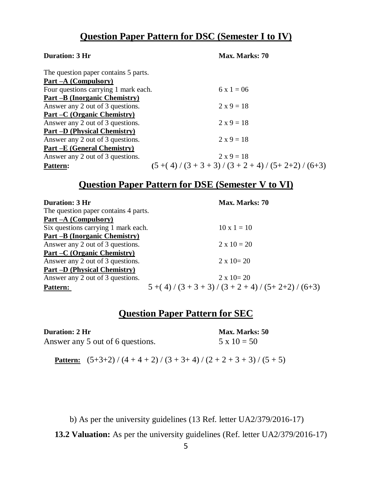### **Question Paper Pattern for DSC (Semester I to IV)**

| <b>Duration: 3 Hr</b>                | Max. Marks: 70                         |
|--------------------------------------|----------------------------------------|
| The question paper contains 5 parts. |                                        |
| Part – A (Compulsory)                |                                        |
| Four questions carrying 1 mark each. | $6x1 = 06$                             |
| Part –B (Inorganic Chemistry)        |                                        |
| Answer any 2 out of 3 questions.     | $2 \times 9 = 18$                      |
| Part –C (Organic Chemistry)          |                                        |
| Answer any 2 out of 3 questions.     | $2 \times 9 = 18$                      |
| <b>Part –D</b> (Physical Chemistry)  |                                        |
| Answer any 2 out of 3 questions.     | $2 x 9 = 18$                           |
| <u>Part –E</u> (General Chemistry)   |                                        |
| Answer any 2 out of 3 questions.     | $2 x 9 = 18$                           |
| <b>Pattern:</b>                      | $(5+(4)/(3+3+3)/(3+2+4)/(5+2+2)/(6+3)$ |

### **Question Paper Pattern for DSE (Semester V to VI)**

| <b>Duration: 3 Hr</b>                | Max. Marks: 70                        |
|--------------------------------------|---------------------------------------|
| The question paper contains 4 parts. |                                       |
| Part – A (Compulsory)                |                                       |
| Six questions carrying 1 mark each.  | $10 \times 1 = 10$                    |
| Part –B (Inorganic Chemistry)        |                                       |
| Answer any 2 out of 3 questions.     | $2 \times 10 = 20$                    |
| Part –C (Organic Chemistry)          |                                       |
| Answer any 2 out of 3 questions.     | $2 \times 10 = 20$                    |
| <b>Part –D</b> (Physical Chemistry)  |                                       |
| Answer any 2 out of 3 questions.     | $2 \times 10 = 20$                    |
| <b>Pattern:</b>                      | $5+(4)/(3+3+3)/(3+2+4)/(5+2+2)/(6+3)$ |

### **Question Paper Pattern for SEC**

| <b>Duration: 2 Hr</b>            |  |
|----------------------------------|--|
| Answer any 5 out of 6 questions. |  |

**Max. Marks: 50**  $5 \times 10 = 50$ 

**Pattern:**  $(5+3+2) / (4+4+2) / (3+3+4) / (2+2+3+3) / (5+5)$ 

b) As per the university guidelines (13 Ref. letter UA2/379/2016-17)

**13.2 Valuation:** As per the university guidelines (Ref. letter UA2/379/2016-17)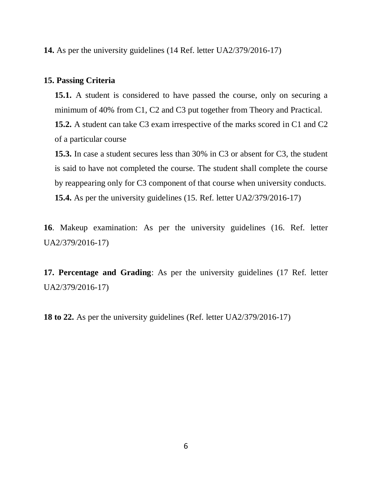**14.** As per the university guidelines (14 Ref. letter UA2/379/2016-17)

### **15. Passing Criteria**

**15.1.** A student is considered to have passed the course, only on securing a minimum of 40% from C1, C2 and C3 put together from Theory and Practical. **15.2.** A student can take C3 exam irrespective of the marks scored in C1 and C2 of a particular course

**15.3.** In case a student secures less than 30% in C3 or absent for C3, the student is said to have not completed the course. The student shall complete the course by reappearing only for C3 component of that course when university conducts. **15.4.** As per the university guidelines (15. Ref. letter UA2/379/2016-17)

**16**. Makeup examination: As per the university guidelines (16. Ref. letter UA2/379/2016-17)

**17. Percentage and Grading**: As per the university guidelines (17 Ref. letter UA2/379/2016-17)

**18 to 22.** As per the university guidelines (Ref. letter UA2/379/2016-17)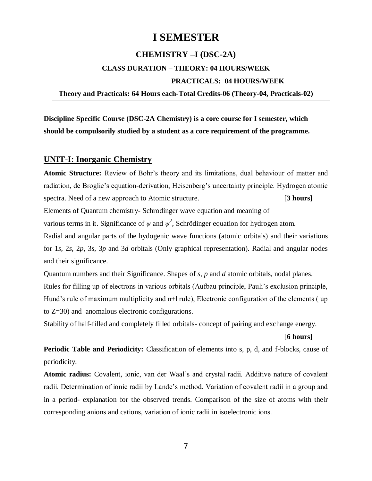### **I SEMESTER**

### **CHEMISTRY –I (DSC-2A)**

## **CLASS DURATION – THEORY: 04 HOURS/WEEK PRACTICALS: 04 HOURS/WEEK**

### **Theory and Practicals: 64 Hours each-Total Credits-06 (Theory-04, Practicals-02)**

**Discipline Specific Course (DSC-2A Chemistry) is a core course for I semester, which should be compulsorily studied by a student as a core requirement of the programme.**

### **UNIT-I: Inorganic Chemistry**

**Atomic Structure:** Review of Bohr's theory and its limitations, dual behaviour of matter and radiation, de Broglie's equation-derivation, Heisenberg's uncertainty principle. Hydrogen atomic spectra. Need of a new approach to Atomic structure. **[3 hours]** Elements of Quantum chemistry- Schrodinger wave equation and meaning of various terms in it. Significance of  $\psi$  and  $\psi^2$ , Schrödinger equation for hydrogen atom. Radial and angular parts of the hydogenic wave functions (atomic orbitals) and their variations for 1*s*, 2*s*, 2*p*, 3*s*, 3*p* and 3*d* orbitals (Only graphical representation). Radial and angular nodes and their significance.

Quantum numbers and their Significance. Shapes of *s*, *p* and *d* atomic orbitals, nodal planes. Rules for filling up of electrons in various orbitals (Aufbau principle, Pauli's exclusion principle, Hund's rule of maximum multiplicity and n+l rule), Electronic configuration of the elements (up to Z=30) and anomalous electronic configurations.

Stability of half-filled and completely filled orbitals- concept of pairing and exchange energy.

#### [**6 hours]**

**Periodic Table and Periodicity:** Classification of elements into s, p, d, and f-blocks, cause of periodicity.

**Atomic radius:** Covalent, ionic, van der Waal's and crystal radii. Additive nature of covalent radii. Determination of ionic radii by Lande's method. Variation of covalent radii in a group and in a period- explanation for the observed trends. Comparison of the size of atoms with their corresponding anions and cations, variation of ionic radii in isoelectronic ions.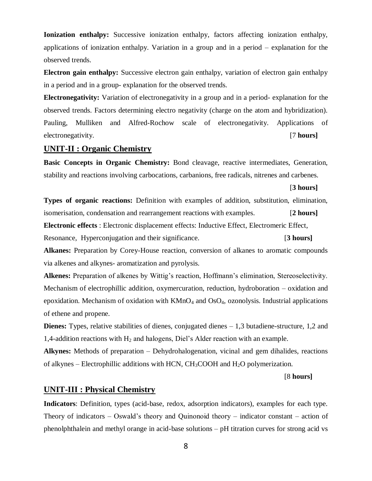**Ionization enthalpy:** Successive ionization enthalpy, factors affecting ionization enthalpy, applications of ionization enthalpy. Variation in a group and in a period – explanation for the observed trends.

**Electron gain enthalpy:** Successive electron gain enthalpy, variation of electron gain enthalpy in a period and in a group- explanation for the observed trends.

**Electronegativity:** Variation of electronegativity in a group and in a period- explanation for the observed trends. Factors determining electro negativity (charge on the atom and hybridization). Pauling, Mulliken and Alfred-Rochow scale of electronegativity. Applications of electronegativity. [7 **hours]**

### **UNIT-II : Organic Chemistry**

**Basic Concepts in Organic Chemistry:** Bond cleavage, reactive intermediates, Generation, stability and reactions involving carbocations, carbanions, free radicals, nitrenes and carbenes.

[**3 hours]**

**Types of organic reactions:** Definition with examples of addition, substitution, elimination, isomerisation, condensation and rearrangement reactions with examples. [**2 hours] Electronic effects** : Electronic displacement effects: Inductive Effect, Electromeric Effect, Resonance, Hyperconjugation and their significance. [**3 hours] Alkanes:** Preparation by Corey-House reaction, conversion of alkanes to aromatic compounds

via alkenes and alkynes- aromatization and pyrolysis.

**Alkenes:** Preparation of alkenes by Wittig's reaction, Hoffmann's elimination, Stereoselectivity. Mechanism of electrophillic addition, oxymercuration, reduction, hydroboration – oxidation and epoxidation. Mechanism of oxidation with  $KMnO_4$  and  $OsO_4$ , ozonolysis. Industrial applications of ethene and propene.

**Dienes:** Types, relative stabilities of dienes, conjugated dienes – 1,3 butadiene-structure, 1,2 and 1,4-addition reactions with  $H_2$  and halogens, Diel's Alder reaction with an example.

**Alkynes:** Methods of preparation – Dehydrohalogenation, vicinal and gem dihalides, reactions of alkynes – Electrophillic additions with HCN,  $CH<sub>3</sub>COOH$  and  $H<sub>2</sub>O$  polymerization.

#### [8 **hours]**

#### **UNIT-III : Physical Chemistry**

**Indicators**: Definition, types (acid-base, redox, adsorption indicators), examples for each type. Theory of indicators – Oswald's theory and Quinonoid theory – indicator constant – action of phenolphthalein and methyl orange in acid-base solutions – pH titration curves for strong acid vs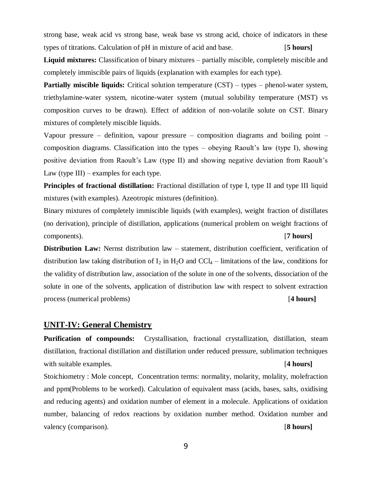strong base, weak acid vs strong base, weak base vs strong acid, choice of indicators in these types of titrations. Calculation of pH in mixture of acid and base. [**5 hours]**

**Liquid mixtures:** Classification of binary mixtures – partially miscible, completely miscible and completely immiscible pairs of liquids (explanation with examples for each type).

**Partially miscible liquids:** Critical solution temperature (CST) – types – phenol-water system, triethylamine-water system, nicotine-water system (mutual solubility temperature (MST) vs composition curves to be drawn). Effect of addition of non-volatile solute on CST. Binary mixtures of completely miscible liquids.

Vapour pressure – definition, vapour pressure – composition diagrams and boiling point – composition diagrams. Classification into the types – obeying Raoult's law (type I), showing positive deviation from Raoult's Law (type II) and showing negative deviation from Raoult's Law (type III) – examples for each type.

**Principles of fractional distillation:** Fractional distillation of type I, type II and type III liquid mixtures (with examples). Azeotropic mixtures (definition).

Binary mixtures of completely immiscible liquids (with examples), weight fraction of distillates (no derivation), principle of distillation, applications (numerical problem on weight fractions of components). [**7 hours]** 

**Distribution Law:** Nernst distribution law – statement, distribution coefficient, verification of distribution law taking distribution of  $I_2$  in  $H_2O$  and  $CCl_4$  – limitations of the law, conditions for the validity of distribution law, association of the solute in one of the solvents, dissociation of the solute in one of the solvents, application of distribution law with respect to solvent extraction process (numerical problems) [**4 hours]**

### **UNIT-IV: General Chemistry**

**Purification of compounds:** Crystallisation, fractional crystallization, distillation, steam distillation, fractional distillation and distillation under reduced pressure, sublimation techniques with suitable examples. [**4 hours]**

Stoichiometry : Mole concept, Concentration terms: normality, molarity, molality, molefraction and ppm(Problems to be worked). Calculation of equivalent mass (acids, bases, salts, oxidising and reducing agents) and oxidation number of element in a molecule. Applications of oxidation number, balancing of redox reactions by oxidation number method. Oxidation number and valency (comparison). [**8 hours]**

9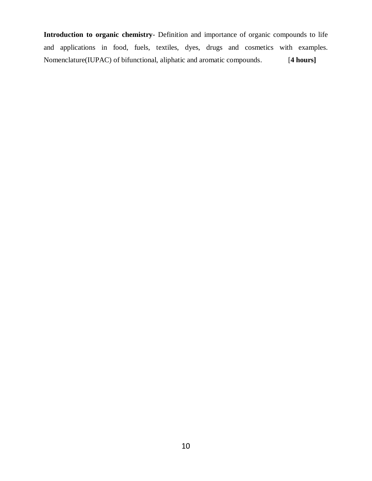**Introduction to organic chemistry**- Definition and importance of organic compounds to life and applications in food, fuels, textiles, dyes, drugs and cosmetics with examples. Nomenclature(IUPAC) of bifunctional, aliphatic and aromatic compounds.[**4 hours]**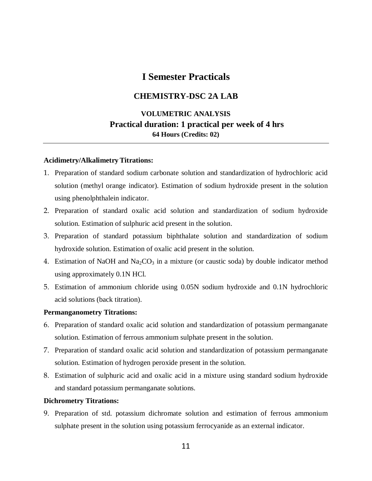### **I Semester Practicals**

### **CHEMISTRY-DSC 2A LAB**

### **VOLUMETRIC ANALYSIS Practical duration: 1 practical per week of 4 hrs 64 Hours (Credits: 02)**

### **Acidimetry/Alkalimetry Titrations:**

- 1. Preparation of standard sodium carbonate solution and standardization of hydrochloric acid solution (methyl orange indicator). Estimation of sodium hydroxide present in the solution using phenolphthalein indicator.
- 2. Preparation of standard oxalic acid solution and standardization of sodium hydroxide solution. Estimation of sulphuric acid present in the solution.
- 3. Preparation of standard potassium biphthalate solution and standardization of sodium hydroxide solution. Estimation of oxalic acid present in the solution.
- 4. Estimation of NaOH and Na<sub>2</sub>CO<sub>3</sub> in a mixture (or caustic soda) by double indicator method using approximately 0.1N HCl.
- 5. Estimation of ammonium chloride using 0.05N sodium hydroxide and 0.1N hydrochloric acid solutions (back titration).

#### **Permanganometry Titrations:**

- 6. Preparation of standard oxalic acid solution and standardization of potassium permanganate solution. Estimation of ferrous ammonium sulphate present in the solution.
- 7. Preparation of standard oxalic acid solution and standardization of potassium permanganate solution. Estimation of hydrogen peroxide present in the solution.
- 8. Estimation of sulphuric acid and oxalic acid in a mixture using standard sodium hydroxide and standard potassium permanganate solutions.

### **Dichrometry Titrations:**

9. Preparation of std. potassium dichromate solution and estimation of ferrous ammonium sulphate present in the solution using potassium ferrocyanide as an external indicator.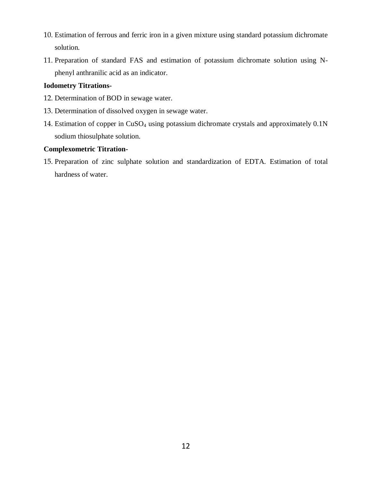- 10. Estimation of ferrous and ferric iron in a given mixture using standard potassium dichromate solution.
- 11. Preparation of standard FAS and estimation of potassium dichromate solution using Nphenyl anthranilic acid as an indicator.

### **Iodometry Titrations-**

- 12. Determination of BOD in sewage water.
- 13. Determination of dissolved oxygen in sewage water.
- 14. Estimation of copper in CuSO<sup>4</sup> using potassium dichromate crystals and approximately 0.1N sodium thiosulphate solution.

### **Complexometric Titration-**

15. Preparation of zinc sulphate solution and standardization of EDTA. Estimation of total hardness of water.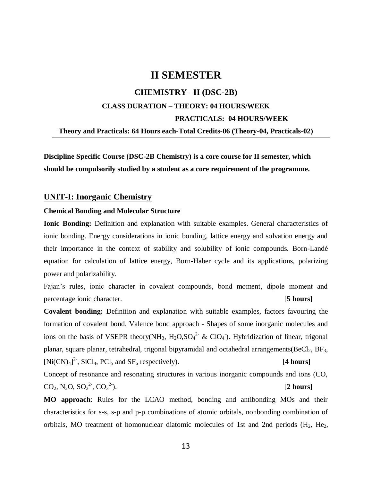### **II SEMESTER**

## **CHEMISTRY –II (DSC-2B) CLASS DURATION – THEORY: 04 HOURS/WEEK PRACTICALS: 04 HOURS/WEEK Theory and Practicals: 64 Hours each-Total Credits-06 (Theory-04, Practicals-02)**

**Discipline Specific Course (DSC-2B Chemistry) is a core course for II semester, which should be compulsorily studied by a student as a core requirement of the programme.**

### **UNIT-I: Inorganic Chemistry**

#### **Chemical Bonding and Molecular Structure**

**Ionic Bonding:** Definition and explanation with suitable examples. General characteristics of ionic bonding. Energy considerations in ionic bonding, lattice energy and solvation energy and their importance in the context of stability and solubility of ionic compounds. Born-Landé equation for calculation of lattice energy, Born-Haber cycle and its applications, polarizing power and polarizability.

Fajan's rules, ionic character in covalent compounds, bond moment, dipole moment and percentage ionic character. [**5 hours]**

**Covalent bonding:** Definition and explanation with suitable examples, factors favouring the formation of covalent bond. Valence bond approach - Shapes of some inorganic molecules and ions on the basis of VSEPR theory(NH<sub>3</sub>, H<sub>2</sub>O,SO<sub>4</sub><sup>2</sup> & ClO<sub>4</sub>). Hybridization of linear, trigonal planar, square planar, tetrahedral, trigonal bipyramidal and octahedral arrangements( $BeCl<sub>2</sub>$ ,  $BF<sub>3</sub>$ ,  $[Ni(CN)<sub>4</sub>]<sup>2</sup>$ , SiCl<sub>4</sub>, PCl<sub>5</sub> and SF<sub>6</sub> respectively). [4 hours]

Concept of resonance and resonating structures in various inorganic compounds and ions (CO,  $CO_2$ , N<sub>2</sub>O, SO<sub>3</sub><sup>2-</sup>, CO<sub>3</sub><sup>2-</sup> ). [**2 hours]**

**MO approach**: Rules for the LCAO method, bonding and antibonding MOs and their characteristics for s-s, s-p and p-p combinations of atomic orbitals, nonbonding combination of orbitals, MO treatment of homonuclear diatomic molecules of 1st and 2nd periods  $(H_2, He_2)$ ,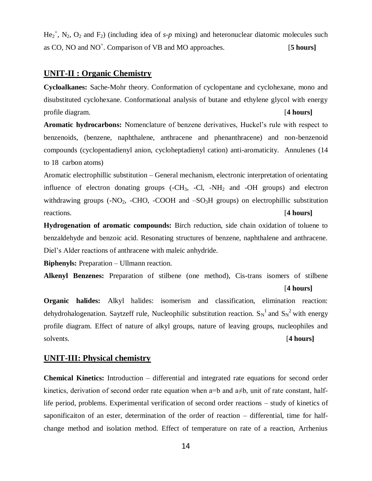$He_2^+$ , N<sub>2</sub>, O<sub>2</sub> and F<sub>2</sub>) (including idea of *s-p* mixing) and heteronuclear diatomic molecules such as CO, NO and NO<sup>+</sup>. Comparison of VB and MO approaches. [5 hours]

### **UNIT-II : Organic Chemistry**

**Cycloalkanes:** Sache-Mohr theory. Conformation of cyclopentane and cyclohexane, mono and disubstituted cyclohexane. Conformational analysis of butane and ethylene glycol with energy profile diagram. [**4 hours]**

**Aromatic hydrocarbons:** Nomenclature of benzene derivatives, Huckel's rule with respect to benzenoids, (benzene, naphthalene, anthracene and phenanthracene) and non-benzenoid compounds (cyclopentadienyl anion, cycloheptadienyl cation) anti-aromaticity. Annulenes (14 to 18 carbon atoms)

Aromatic electrophillic substitution – General mechanism, electronic interpretation of orientating influence of electron donating groups  $(-CH_3, -Cl, -NH_2)$  and  $-OH$  groups) and electron withdrawing groups  $(-NO_2, -CHO, -COOH$  and  $-SO_3H$  groups) on electrophillic substitution reactions. [**4 hours]**

**Hydrogenation of aromatic compounds:** Birch reduction, side chain oxidation of toluene to benzaldehyde and benzoic acid. Resonating structures of benzene, naphthalene and anthracene. Diel's Alder reactions of anthracene with maleic anhydride.

**Biphenyls:** Preparation – Ullmann reaction.

**Alkenyl Benzenes:** Preparation of stilbene (one method), Cis-trans isomers of stilbene

#### [**4 hours]**

**Organic halides:** Alkyl halides: isomerism and classification, elimination reaction: dehydrohalogenation. Saytzeff rule, Nucleophilic substitution reaction.  $S_N^{-1}$  and  $S_N^{-2}$  with energy profile diagram. Effect of nature of alkyl groups, nature of leaving groups, nucleophiles and solvents. [**4 hours]**

#### **UNIT-III: Physical chemistry**

**Chemical Kinetics:** Introduction – differential and integrated rate equations for second order kinetics, derivation of second order rate equation when a=b and a≠b, unit of rate constant, halflife period, problems. Experimental verification of second order reactions – study of kinetics of saponificaiton of an ester, determination of the order of reaction – differential, time for halfchange method and isolation method. Effect of temperature on rate of a reaction, Arrhenius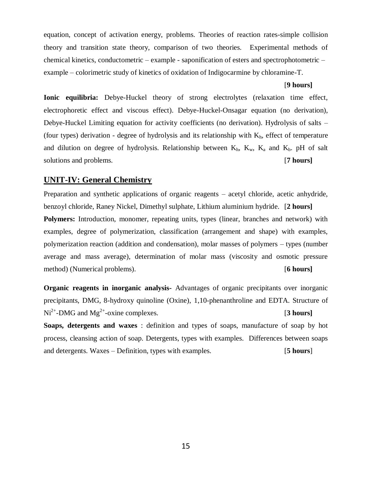equation, concept of activation energy, problems. Theories of reaction rates-simple collision theory and transition state theory, comparison of two theories. Experimental methods of chemical kinetics, conductometric – example - saponification of esters and spectrophotometric – example – colorimetric study of kinetics of oxidation of Indigocarmine by chloramine-T.

#### [**9 hours]**

**Ionic equilibria:** Debye-Huckel theory of strong electrolytes (relaxation time effect, electrophoretic effect and viscous effect). Debye-Huckel-Onsagar equation (no derivation), Debye-Huckel Limiting equation for activity coefficients (no derivation). Hydrolysis of salts – (four types) derivation - degree of hydrolysis and its relationship with  $K<sub>h</sub>$ , effect of temperature and dilution on degree of hydrolysis. Relationship between  $K_h$ ,  $K_w$ ,  $K_a$  and  $K_b$ . pH of salt solutions and problems. [**7 hours]** 

### **UNIT-IV: General Chemistry**

Preparation and synthetic applications of organic reagents – acetyl chloride, acetic anhydride, benzoyl chloride, Raney Nickel, Dimethyl sulphate, Lithium aluminium hydride. [**2 hours] Polymers:** Introduction, monomer, repeating units, types (linear, branches and network) with examples, degree of polymerization, classification (arrangement and shape) with examples, polymerization reaction (addition and condensation), molar masses of polymers – types (number average and mass average), determination of molar mass (viscosity and osmotic pressure method) (Numerical problems). [**6 hours]** 

**Organic reagents in inorganic analysis-** Advantages of organic precipitants over inorganic precipitants, DMG, 8-hydroxy quinoline (Oxine), 1,10-phenanthroline and EDTA. Structure of Ni<sup>2+</sup>-DMG and Mg<sup>2+</sup>-oxine complexes. [3 hours] **Soaps, detergents and waxes** : definition and types of soaps, manufacture of soap by hot

process, cleansing action of soap. Detergents, types with examples. Differences between soaps and detergents. Waxes – Definition, types with examples. [**5 hours**]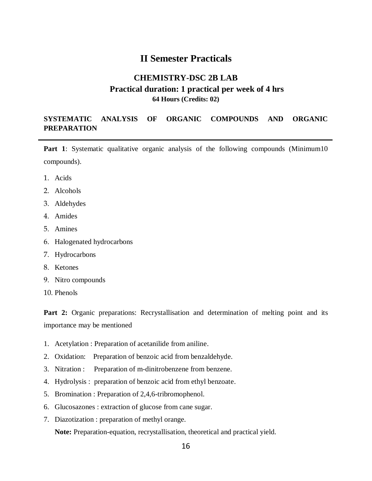### **II Semester Practicals**

### **CHEMISTRY-DSC 2B LAB Practical duration: 1 practical per week of 4 hrs 64 Hours (Credits: 02)**

### **SYSTEMATIC ANALYSIS OF ORGANIC COMPOUNDS AND ORGANIC PREPARATION**

**Part 1**: Systematic qualitative organic analysis of the following compounds (Minimum10) compounds).

- 1. Acids
- 2. Alcohols
- 3. Aldehydes
- 4. Amides
- 5. Amines
- 6. Halogenated hydrocarbons
- 7. Hydrocarbons
- 8. Ketones
- 9. Nitro compounds
- 10. Phenols

Part 2: Organic preparations: Recrystallisation and determination of melting point and its importance may be mentioned

- 1. Acetylation : Preparation of acetanilide from aniline.
- 2. Oxidation: Preparation of benzoic acid from benzaldehyde.
- 3. Nitration : Preparation of m-dinitrobenzene from benzene.
- 4. Hydrolysis : preparation of benzoic acid from ethyl benzoate.
- 5. Bromination : Preparation of 2,4,6-tribromophenol.
- 6. Glucosazones : extraction of glucose from cane sugar.
- 7. Diazotization : preparation of methyl orange.

**Note:** Preparation-equation, recrystallisation, theoretical and practical yield.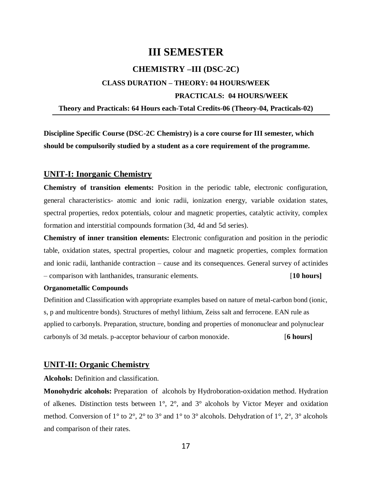### **III SEMESTER**

### **CHEMISTRY –III (DSC-2C)**

## **CLASS DURATION – THEORY: 04 HOURS/WEEK PRACTICALS: 04 HOURS/WEEK**

### **Theory and Practicals: 64 Hours each-Total Credits-06 (Theory-04, Practicals-02)**

**Discipline Specific Course (DSC-2C Chemistry) is a core course for III semester, which should be compulsorily studied by a student as a core requirement of the programme.**

### **UNIT-I: Inorganic Chemistry**

**Chemistry of transition elements:** Position in the periodic table, electronic configuration, general characteristics- atomic and ionic radii, ionization energy, variable oxidation states, spectral properties, redox potentials, colour and magnetic properties, catalytic activity, complex formation and interstitial compounds formation (3d, 4d and 5d series).

**Chemistry of inner transition elements:** Electronic configuration and position in the periodic table, oxidation states, spectral properties, colour and magnetic properties, complex formation and ionic radii, lanthanide contraction – cause and its consequences. General survey of actinides – comparison with lanthanides, transuranic elements. [**10 hours]**

#### **Organometallic Compounds**

Definition and Classification with appropriate examples based on nature of metal-carbon bond (ionic, s, p and multicentre bonds). Structures of methyl lithium, Zeiss salt and ferrocene. EAN rule as applied to carbonyls. Preparation, structure, bonding and properties of mononuclear and polynuclear carbonyls of 3d metals. p-acceptor behaviour of carbon monoxide. [**6 hours]**

### **UNIT-II: Organic Chemistry**

**Alcohols:** Definition and classification.

**Monohydric alcohols:** Preparation ofalcohols by Hydroboration-oxidation method. Hydration of alkenes. Distinction tests between 1°, 2°, and 3° alcohols by Victor Meyer and oxidation method. Conversion of 1° to 2°, 2° to 3° and 1° to 3° alcohols. Dehydration of 1°, 2°, 3° alcohols and comparison of their rates.

17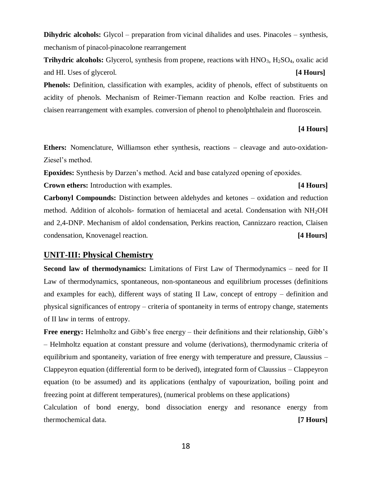**Dihydric alcohols:** Glycol – preparation from vicinal dihalides and uses. Pinacoles – synthesis, mechanism of pinacol-pinacolone rearrangement

**Trihydric alcohols:** Glycerol, synthesis from propene, reactions with HNO<sub>3</sub>, H<sub>2</sub>SO<sub>4</sub>, oxalic acid and HI. Uses of glycerol. **[4 Hours]**

**Phenols:** Definition, classification with examples, acidity of phenols, effect of substituents on acidity of phenols. Mechanism of Reimer-Tiemann reaction and Kolbe reaction. Fries and claisen rearrangement with examples. conversion of phenol to phenolphthalein and fluoroscein.

### **[4 Hours]**

**Ethers:** Nomenclature, Williamson ether synthesis, reactions – cleavage and auto-oxidation-Ziesel's method.

**Epoxides:** Synthesis by Darzen's method. Acid and base catalyzed opening of epoxides.

**Crown ethers:** Introduction with examples. **[4 Hours]**

**Carbonyl Compounds:** Distinction between aldehydes and ketones – oxidation and reduction method. Addition of alcohols- formation of hemiacetal and acetal. Condensation with  $NH<sub>2</sub>OH$ and 2,4-DNP. Mechanism of aldol condensation, Perkins reaction, Cannizzaro reaction, Claisen condensation, Knovenagel reaction. **[4 Hours]**

### **UNIT-III: Physical Chemistry**

**Second law of thermodynamics:** Limitations of First Law of Thermodynamics – need for II Law of thermodynamics, spontaneous, non-spontaneous and equilibrium processes (definitions and examples for each), different ways of stating II Law, concept of entropy – definition and physical significances of entropy – criteria of spontaneity in terms of entropy change, statements of II law in terms of entropy.

**Free energy:** Helmholtz and Gibb's free energy – their definitions and their relationship, Gibb's – Helmholtz equation at constant pressure and volume (derivations), thermodynamic criteria of equilibrium and spontaneity, variation of free energy with temperature and pressure, Claussius – Clappeyron equation (differential form to be derived), integrated form of Claussius – Clappeyron equation (to be assumed) and its applications (enthalpy of vapourization, boiling point and freezing point at different temperatures), (numerical problems on these applications)

Calculation of bond energy, bond dissociation energy and resonance energy from thermochemical data. **[7 Hours]**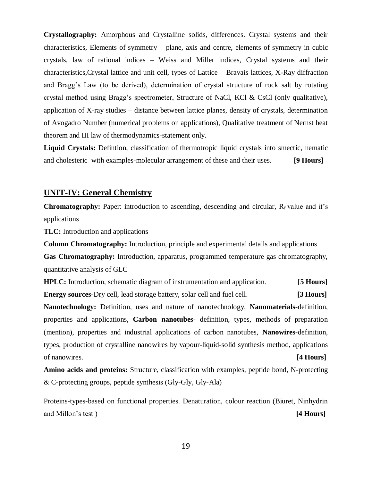**Crystallography:** Amorphous and Crystalline solids, differences. Crystal systems and their characteristics, Elements of symmetry – plane, axis and centre, elements of symmetry in cubic crystals, law of rational indices – Weiss and Miller indices, Crystal systems and their characteristics,Crystal lattice and unit cell, types of Lattice – Bravais lattices, X-Ray diffraction and Bragg's Law (to be derived), determination of crystal structure of rock salt by rotating crystal method using Bragg's spectrometer, Structure of NaCl, KCl & CsCl (only qualitative), application of X-ray studies – distance between lattice planes, density of crystals, determination of Avogadro Number (numerical problems on applications), Qualitative treatment of Nernst heat theorem and III law of thermodynamics-statement only.

**Liquid Crystals:** Defintion, classification of thermotropic liquid crystals into smectic, nematic and cholesteric with examples-molecular arrangement of these and their uses. **[9 Hours]**

### **UNIT-IV: General Chemistry**

**Chromatography:** Paper: introduction to ascending, descending and circular,  $R_f$  value and it's applications

**TLC:** Introduction and applications

**Column Chromatography:** Introduction, principle and experimental details and applications

**Gas Chromatography:** Introduction, apparatus, programmed temperature gas chromatography, quantitative analysis of GLC

**HPLC:** Introduction, schematic diagram of instrumentation and application. **[5 Hours] Energy sources-**Dry cell, lead storage battery, solar cell and fuel cell. **[3 Hours]**

**Nanotechnology:** Definition, uses and nature of nanotechnology, **Nanomaterials**-definition, properties and applications, **Carbon nanotubes**- definition, types, methods of preparation (mention), properties and industrial applications of carbon nanotubes, **Nanowires**-definition, types, production of crystalline nanowires by vapour-liquid-solid synthesis method, applications of nanowires. [**4 Hours]**

**Amino acids and proteins:** Structure, classification with examples, peptide bond, N-protecting & C-protecting groups, peptide synthesis (Gly-Gly, Gly-Ala)

Proteins-types-based on functional properties. Denaturation, colour reaction (Biuret, Ninhydrin and Millon's test ) **[4 Hours]**

19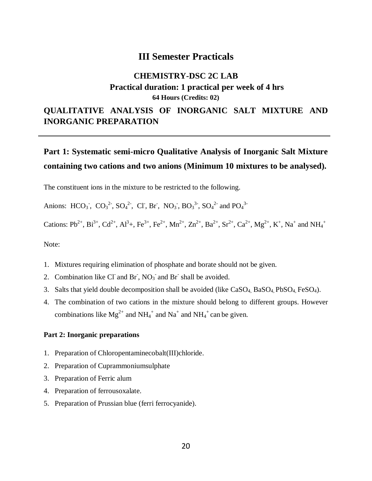### **III Semester Practicals**

### **CHEMISTRY-DSC 2C LAB Practical duration: 1 practical per week of 4 hrs 64 Hours (Credits: 02)**

### **QUALITATIVE ANALYSIS OF INORGANIC SALT MIXTURE AND INORGANIC PREPARATION**

## **Part 1: Systematic semi-micro Qualitative Analysis of Inorganic Salt Mixture containing two cations and two anions (Minimum 10 mixtures to be analysed).**

The constituent ions in the mixture to be restricted to the following.

Anions: HCO<sub>3</sub>, CO<sub>3</sub><sup>2</sup>, SO<sub>4</sub><sup>2</sup>, Cl, Br, NO<sub>3</sub>, BO<sub>3</sub><sup>3</sup>, SO<sub>4</sub><sup>2</sup> and PO<sub>4</sub><sup>3</sup>

Cations: Pb<sup>2+</sup>, Bi<sup>3+</sup>, Cd<sup>2+</sup>, Al<sup>3</sup>+, Fe<sup>3+</sup>, Fe<sup>2+</sup>, Mn<sup>2+</sup>, Zn<sup>2+</sup>, Ba<sup>2+</sup>, Sr<sup>2+</sup>, Ca<sup>2+</sup>, Mg<sup>2+</sup>, K<sup>+</sup>, Na<sup>+</sup> and NH<sub>4</sub><sup>+</sup>

Note:

- 1. Mixtures requiring elimination of phosphate and borate should not be given.
- 2. Combination like Cl and Br,  $NO<sub>3</sub>$  and Br shall be avoided.
- 3. Salts that yield double decomposition shall be avoided (like CaSO<sub>4</sub>, BaSO<sub>4</sub>, PbSO<sub>4</sub>, FeSO<sub>4</sub>).
- 4. The combination of two cations in the mixture should belong to different groups. However combinations like  $Mg^{2+}$  and  $NH_4^+$  and  $Na^+$  and  $NH_4^+$  can be given.

#### **Part 2: Inorganic preparations**

- 1. Preparation of Chloropentaminecobalt(III)chloride.
- 2. Preparation of Cuprammoniumsulphate
- 3. Preparation of Ferric alum
- 4. Preparation of ferrousoxalate.
- 5. Preparation of Prussian blue (ferri ferrocyanide).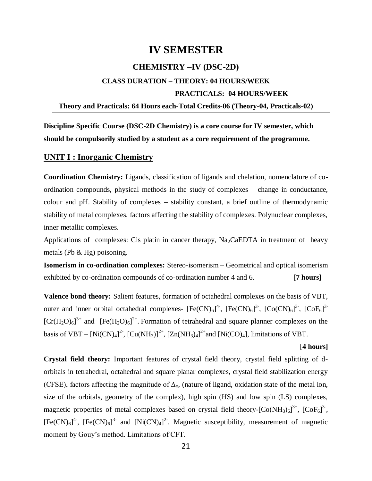### **IV SEMESTER**

### **CHEMISTRY –IV (DSC-2D)**

### **CLASS DURATION – THEORY: 04 HOURS/WEEK**

### **PRACTICALS: 04 HOURS/WEEK**

#### **Theory and Practicals: 64 Hours each-Total Credits-06 (Theory-04, Practicals-02)**

**Discipline Specific Course (DSC-2D Chemistry) is a core course for IV semester, which should be compulsorily studied by a student as a core requirement of the programme.**

### **UNIT I : Inorganic Chemistry**

**Coordination Chemistry:** Ligands, classification of ligands and chelation, nomenclature of coordination compounds, physical methods in the study of complexes – change in conductance, colour and pH. Stability of complexes – stability constant, a brief outline of thermodynamic stability of metal complexes, factors affecting the stability of complexes. Polynuclear complexes, inner metallic complexes.

Applications of complexes: Cis platin in cancer therapy,  $\text{Na}_2\text{CaEDTA}$  in treatment of heavy metals (Pb & Hg) poisoning.

**Isomerism in co-ordination complexes:** Stereo-isomerism – Geometrical and optical isomerism exhibited by co-ordination compounds of co-ordination number 4 and 6. [**7 hours]**

**Valence bond theory:** Salient features, formation of octahedral complexes on the basis of VBT, outer and inner orbital octahedral complexes-  $[Fe(CN)<sub>6</sub>]<sup>4</sup>$ ,  $[Fe(CN)<sub>6</sub>]<sup>3</sup>$ ,  $[Co(CN)<sub>6</sub>]<sup>3</sup>$ ,  $[CoF<sub>6</sub>]<sup>3</sup>$  $[Cr(H<sub>2</sub>O)<sub>6</sub>]$ <sup>3+</sup> and  $[Fe(H<sub>2</sub>O)<sub>6</sub>]$ <sup>2+</sup>. Formation of tetrahedral and square planner complexes on the basis of VBT –  $[Ni(CN)_4]^2$ ,  $[Cu(NH_3)]^{2+}$ ,  $[Zn(NH_3)_4]^{2+}$  and  $[Ni(CO)_4]$ , limitations of VBT.

#### [**4 hours]**

**Crystal field theory:** Important features of crystal field theory, crystal field splitting of dorbitals in tetrahedral, octahedral and square planar complexes, crystal field stabilization energy (CFSE), factors affecting the magnitude of  $\Delta_0$ , (nature of ligand, oxidation state of the metal ion, size of the orbitals, geometry of the complex), high spin (HS) and low spin (LS) complexes, magnetic properties of metal complexes based on crystal field theory- $[Co(NH_3)_6]^{3+}$ ,  $[CoF_6]^{3-}$ ,  $[Fe(CN)_{6}]^{4}$ ,  $[Fe(CN)_{6}]^{3}$  and  $[Ni(CN)_{4}]^{2}$ . Magnetic susceptibility, measurement of magnetic moment by Gouy's method. Limitations of CFT.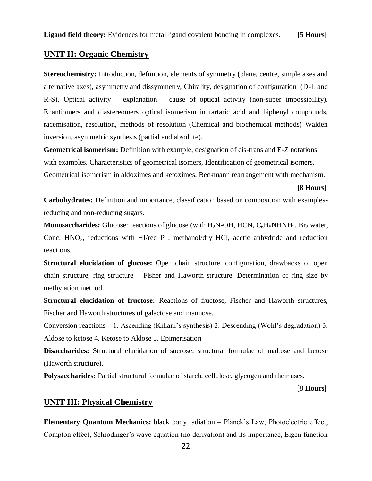### **UNIT II: Organic Chemistry**

**Stereochemistry:** Introduction, definition, elements of symmetry (plane, centre, simple axes and alternative axes), asymmetry and dissymmetry, Chirality, designation of configuration (D-L and R-S). Optical activity – explanation – cause of optical activity (non-super impossibility). Enantiomers and diastereomers optical isomerism in tartaric acid and biphenyl compounds, racemisation, resolution, methods of resolution (Chemical and biochemical methods) Walden inversion, asymmetric synthesis (partial and absolute).

**Geometrical isomerism:** Definition with example, designation of cis-trans and E-Z notations with examples. Characteristics of geometrical isomers, Identification of geometrical isomers.

Geometrical isomerism in aldoximes and ketoximes, Beckmann rearrangement with mechanism.

**[8 Hours]**

**Carbohydrates:** Definition and importance, classification based on composition with examplesreducing and non-reducing sugars.

**Monosaccharides:** Glucose: reactions of glucose (with  $H_2N$ -OH, HCN,  $C_6H_5NHNH_2$ , Br<sub>2</sub> water, Conc.  $HNO<sub>3</sub>$ , reductions with  $HI/red$  P, methanol/dry HCl, acetic anhydride and reduction reactions.

**Structural elucidation of glucose:** Open chain structure, configuration, drawbacks of open chain structure, ring structure – Fisher and Haworth structure. Determination of ring size by methylation method.

**Structural elucidation of fructose:** Reactions of fructose, Fischer and Haworth structures, Fischer and Haworth structures of galactose and mannose.

Conversion reactions – 1. Ascending (Kiliani's synthesis) 2. Descending (Wohl's degradation) 3. Aldose to ketose 4. Ketose to Aldose 5. Epimerisation

**Disaccharides:** Structural elucidation of sucrose, structural formulae of maltose and lactose (Haworth structure).

**Polysaccharides:** Partial structural formulae of starch, cellulose, glycogen and their uses.

[8 **Hours]** 

### **UNIT III: Physical Chemistry**

**Elementary Quantum Mechanics:** black body radiation – Planck's Law, Photoelectric effect, Compton effect, Schrodinger's wave equation (no derivation) and its importance, Eigen function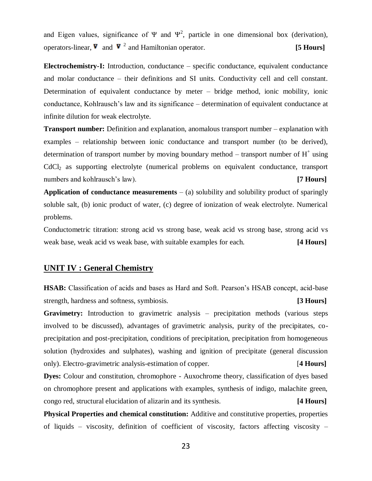and Eigen values, significance of  $\Psi$  and  $\Psi^2$ , particle in one dimensional box (derivation), operators-linear,  $\nabla$  and  $\nabla^2$  and Hamiltonian operator. **[5 Hours]** 

**Electrochemistry-I:** Introduction, conductance – specific conductance, equivalent conductance and molar conductance – their definitions and SI units. Conductivity cell and cell constant. Determination of equivalent conductance by meter – bridge method, ionic mobility, ionic conductance, Kohlrausch's law and its significance – determination of equivalent conductance at infinite dilution for weak electrolyte.

**Transport number:** Definition and explanation, anomalous transport number – explanation with examples – relationship between ionic conductance and transport number (to be derived), determination of transport number by moving boundary method – transport number of  $H^+$  using CdCl<sup>2</sup> as supporting electrolyte (numerical problems on equivalent conductance, transport numbers and kohlrausch's law). **[7 <b>Hours**]

**Application of conductance measurements** – (a) solubility and solubility product of sparingly soluble salt, (b) ionic product of water, (c) degree of ionization of weak electrolyte. Numerical problems.

Conductometric titration: strong acid vs strong base, weak acid vs strong base, strong acid vs weak base, weak acid vs weak base, with suitable examples for each. **[4 Hours]**

### **UNIT IV : General Chemistry**

**HSAB:** Classification of acids and bases as Hard and Soft. Pearson's HSAB concept, acid-base strength, hardness and softness, symbiosis. **[3 Hours]** 

**Gravimetry:** Introduction to gravimetric analysis – precipitation methods (various steps involved to be discussed), advantages of gravimetric analysis, purity of the precipitates, coprecipitation and post-precipitation, conditions of precipitation, precipitation from homogeneous solution (hydroxides and sulphates), washing and ignition of precipitate (general discussion only). Electro-gravimetric analysis-estimation of copper. [**4 Hours]**

**Dyes:** Colour and constitution, chromophore - Auxochrome theory, classification of dyes based on chromophore present and applications with examples, synthesis of indigo, malachite green, congo red, structural elucidation of alizarin and its synthesis. **[4 Hours]**

**Physical Properties and chemical constitution:** Additive and constitutive properties, properties of liquids – viscosity, definition of coefficient of viscosity, factors affecting viscosity –

23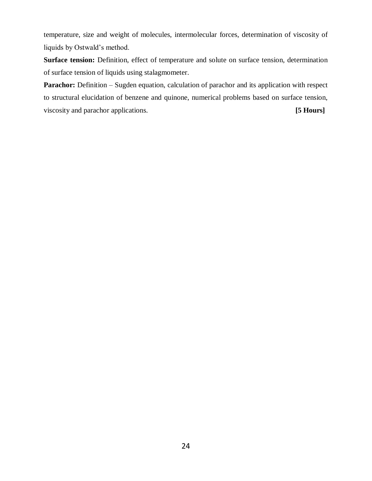temperature, size and weight of molecules, intermolecular forces, determination of viscosity of liquids by Ostwald's method.

**Surface tension:** Definition, effect of temperature and solute on surface tension, determination of surface tension of liquids using stalagmometer.

**Parachor:** Definition – Sugden equation, calculation of parachor and its application with respect to structural elucidation of benzene and quinone, numerical problems based on surface tension, viscosity and parachor applications. **[5 Hours]**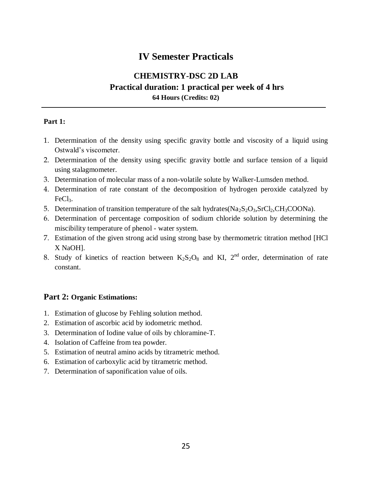### **IV Semester Practicals**

### **CHEMISTRY-DSC 2D LAB Practical duration: 1 practical per week of 4 hrs 64 Hours (Credits: 02)**

### **Part 1:**

- 1. Determination of the density using specific gravity bottle and viscosity of a liquid using Ostwald's viscometer.
- 2. Determination of the density using specific gravity bottle and surface tension of a liquid using stalagmometer.
- 3. Determination of molecular mass of a non-volatile solute by Walker-Lumsden method.
- 4. Determination of rate constant of the decomposition of hydrogen peroxide catalyzed by FeCl<sub>3</sub>.
- 5. Determination of transition temperature of the salt hydrates( $Na<sub>2</sub>S<sub>2</sub>O<sub>3</sub>,SrCl<sub>2</sub>,CH<sub>3</sub>COONa$ ).
- 6. Determination of percentage composition of sodium chloride solution by determining the miscibility temperature of phenol - water system.
- 7. Estimation of the given strong acid using strong base by thermometric titration method [HCl X NaOH].
- 8. Study of kinetics of reaction between  $K_2S_2O_8$  and KI,  $2<sup>nd</sup>$  order, determination of rate constant.

### **Part 2: Organic Estimations:**

- 1. Estimation of glucose by Fehling solution method.
- 2. Estimation of ascorbic acid by iodometric method.
- 3. Determination of Iodine value of oils by chloramine-T.
- 4. Isolation of Caffeine from tea powder.
- 5. Estimation of neutral amino acids by titrametric method.
- 6. Estimation of carboxylic acid by titrametric method.
- 7. Determination of saponification value of oils.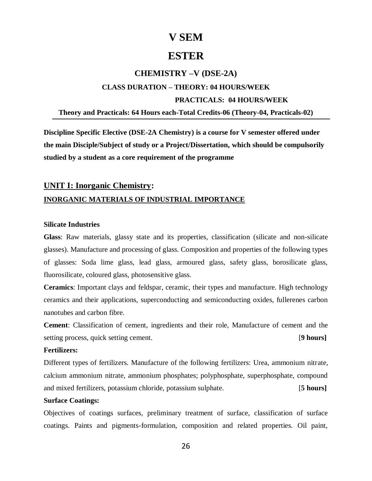### **V SEM**

### **ESTER**

### **CHEMISTRY –V (DSE-2A)**

## **CLASS DURATION – THEORY: 04 HOURS/WEEK PRACTICALS: 04 HOURS/WEEK**

### **Theory and Practicals: 64 Hours each-Total Credits-06 (Theory-04, Practicals-02)**

**Discipline Specific Elective (DSE-2A Chemistry) is a course for V semester offered under the main Disciple/Subject of study or a Project/Dissertation, which should be compulsorily studied by a student as a core requirement of the programme**

## **UNIT I: Inorganic Chemistry: INORGANIC MATERIALS OF INDUSTRIAL IMPORTANCE**

### **Silicate Industries**

**Glass**: Raw materials*,* glassy state and its properties, classification (silicate and non-silicate glasses). Manufacture and processing of glass. Composition and properties of the following types of glasses: Soda lime glass, lead glass, armoured glass, safety glass, borosilicate glass, fluorosilicate, coloured glass, photosensitive glass.

**Ceramics**: Important clays and feldspar, ceramic, their types and manufacture. High technology ceramics and their applications, superconducting and semiconducting oxides, fullerenes carbon nanotubes and carbon fibre.

**Cement**: Classification of cement, ingredients and their role, Manufacture of cement and the setting process, quick setting cement. [**9 hours]**

#### **Fertilizers:**

Different types of fertilizers. Manufacture of the following fertilizers: Urea, ammonium nitrate, calcium ammonium nitrate, ammonium phosphates; polyphosphate, superphosphate, compound and mixed fertilizers, potassium chloride, potassium sulphate. [**5 hours]**

### **Surface Coatings:**

Objectives of coatings surfaces, preliminary treatment of surface, classification of surface coatings. Paints and pigments-formulation, composition and related properties. Oil paint,

26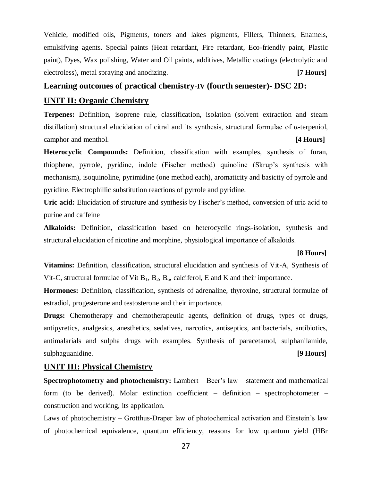Vehicle, modified oils, Pigments, toners and lakes pigments, Fillers, Thinners, Enamels, emulsifying agents. Special paints (Heat retardant, Fire retardant, Eco-friendly paint, Plastic paint), Dyes, Wax polishing, Water and Oil paints, additives, Metallic coatings (electrolytic and electroless), metal spraying and anodizing. **[7 Hours]**

### **Learning outcomes of practical chemistry-IV (fourth semester)- DSC 2D:**

### **UNIT II: Organic Chemistry**

**Terpenes:** Definition, isoprene rule, classification, isolation (solvent extraction and steam distillation) structural elucidation of citral and its synthesis, structural formulae of α-terpeniol, camphor and menthol. **[4 Hours]**

**Heterocyclic Compounds:** Definition, classification with examples, synthesis of furan, thiophene, pyrrole, pyridine, indole (Fischer method) quinoline (Skrup's synthesis with mechanism), isoquinoline, pyrimidine (one method each), aromaticity and basicity of pyrrole and pyridine. Electrophillic substitution reactions of pyrrole and pyridine.

**Uric acid:** Elucidation of structure and synthesis by Fischer's method, conversion of uric acid to purine and caffeine

**Alkaloids:** Definition, classification based on heterocyclic rings-isolation, synthesis and structural elucidation of nicotine and morphine, physiological importance of alkaloids.

### **[8 Hours]**

**Vitamins:** Definition, classification, structural elucidation and synthesis of Vit-A, Synthesis of Vit-C, structural formulae of Vit  $B_1$ ,  $B_2$ ,  $B_6$ , calciferol, E and K and their importance.

**Hormones:** Definition, classification, synthesis of adrenaline, thyroxine, structural formulae of estradiol, progesterone and testosterone and their importance.

**Drugs:** Chemotherapy and chemotherapeutic agents, definition of drugs, types of drugs, antipyretics, analgesics, anesthetics, sedatives, narcotics, antiseptics, antibacterials, antibiotics, antimalarials and sulpha drugs with examples. Synthesis of paracetamol, sulphanilamide, sulphaguanidine. **[9 Hours]**

### **UNIT III: Physical Chemistry**

**Spectrophotometry and photochemistry:** Lambert – Beer's law – statement and mathematical form (to be derived). Molar extinction coefficient – definition – spectrophotometer – construction and working, its application.

Laws of photochemistry – Grotthus-Draper law of photochemical activation and Einstein's law of photochemical equivalence, quantum efficiency, reasons for low quantum yield (HBr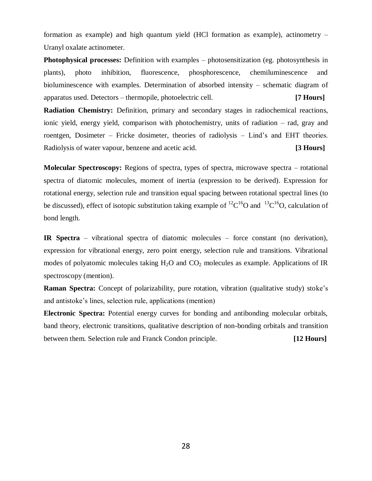formation as example) and high quantum yield (HCl formation as example), actinometry – Uranyl oxalate actinometer.

**Photophysical processes:** Definition with examples – photosensitization (eg. photosynthesis in plants), photo inhibition, fluorescence, phosphorescence, chemiluminescence and bioluminescence with examples. Determination of absorbed intensity – schematic diagram of apparatus used. Detectors – thermopile, photoelectric cell. **[7 Hours]**

**Radiation Chemistry:** Definition, primary and secondary stages in radiochemical reactions, ionic yield, energy yield, comparison with photochemistry, units of radiation – rad, gray and roentgen, Dosimeter – Fricke dosimeter, theories of radiolysis – Lind's and EHT theories. Radiolysis of water vapour, benzene and acetic acid. **[3 Hours]**

**Molecular Spectroscopy:** Regions of spectra, types of spectra, microwave spectra – rotational spectra of diatomic molecules, moment of inertia (expression to be derived). Expression for rotational energy, selection rule and transition equal spacing between rotational spectral lines (to be discussed), effect of isotopic substitution taking example of  ${}^{12}C^{16}O$  and  ${}^{13}C^{16}O$ , calculation of bond length.

**IR Spectra** – vibrational spectra of diatomic molecules – force constant (no derivation), expression for vibrational energy, zero point energy, selection rule and transitions. Vibrational modes of polyatomic molecules taking  $H_2O$  and  $CO_2$  molecules as example. Applications of IR spectroscopy (mention).

**Raman Spectra:** Concept of polarizability, pure rotation, vibration (qualitative study) stoke's and antistoke's lines, selection rule, applications (mention)

**Electronic Spectra:** Potential energy curves for bonding and antibonding molecular orbitals, band theory, electronic transitions, qualitative description of non-bonding orbitals and transition between them. Selection rule and Franck Condon principle. **[12 Hours]**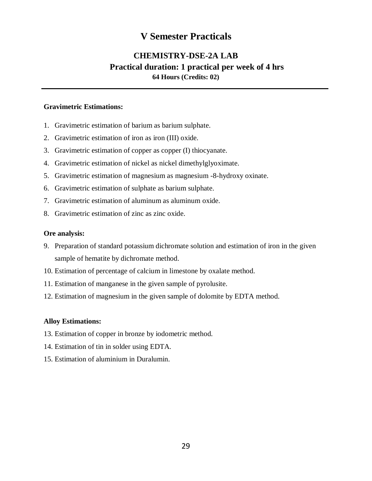### **V Semester Practicals**

### **CHEMISTRY-DSE-2A LAB Practical duration: 1 practical per week of 4 hrs 64 Hours (Credits: 02)**

### **Gravimetric Estimations:**

- 1. Gravimetric estimation of barium as barium sulphate.
- 2. Gravimetric estimation of iron as iron (III) oxide.
- 3. Gravimetric estimation of copper as copper (I) thiocyanate.
- 4. Gravimetric estimation of nickel as nickel dimethylglyoximate.
- 5. Gravimetric estimation of magnesium as magnesium -8-hydroxy oxinate.
- 6. Gravimetric estimation of sulphate as barium sulphate.
- 7. Gravimetric estimation of aluminum as aluminum oxide.
- 8. Gravimetric estimation of zinc as zinc oxide.

### **Ore analysis:**

- 9. Preparation of standard potassium dichromate solution and estimation of iron in the given sample of hematite by dichromate method.
- 10. Estimation of percentage of calcium in limestone by oxalate method.
- 11. Estimation of manganese in the given sample of pyrolusite.
- 12. Estimation of magnesium in the given sample of dolomite by EDTA method.

### **Alloy Estimations:**

- 13. Estimation of copper in bronze by iodometric method.
- 14. Estimation of tin in solder using EDTA.
- 15. Estimation of aluminium in Duralumin.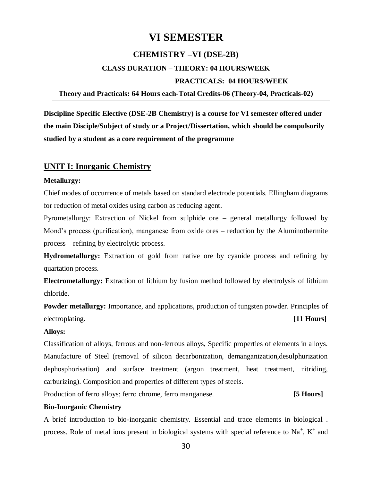### **VI SEMESTER**

### **CHEMISTRY –VI (DSE-2B)**

## **CLASS DURATION – THEORY: 04 HOURS/WEEK PRACTICALS: 04 HOURS/WEEK**

### **Theory and Practicals: 64 Hours each-Total Credits-06 (Theory-04, Practicals-02)**

**Discipline Specific Elective (DSE-2B Chemistry) is a course for VI semester offered under the main Disciple/Subject of study or a Project/Dissertation, which should be compulsorily studied by a student as a core requirement of the programme**

### **UNIT I: Inorganic Chemistry**

### **Metallurgy:**

Chief modes of occurrence of metals based on standard electrode potentials. Ellingham diagrams for reduction of metal oxides using carbon as reducing agent.

Pyrometallurgy: Extraction of Nickel from sulphide ore – general metallurgy followed by Mond's process (purification), manganese from oxide ores – reduction by the Aluminothermite process – refining by electrolytic process.

**Hydrometallurgy:** Extraction of gold from native ore by cyanide process and refining by quartation process.

**Electrometallurgy:** Extraction of lithium by fusion method followed by electrolysis of lithium chloride.

**Powder metallurgy:** Importance, and applications, production of tungsten powder. Principles of electroplating. **[11 Hours]**

#### **Alloys:**

Classification of alloys, ferrous and non-ferrous alloys, Specific properties of elements in alloys. Manufacture of Steel (removal of silicon decarbonization, demanganization,desulphurization dephosphorisation) and surface treatment (argon treatment, heat treatment, nitriding, carburizing). Composition and properties of different types of steels.

Production of ferro alloys; ferro chrome, ferro manganese. **[5 Hours]**

### **Bio-Inorganic Chemistry**

A brief introduction to bio-inorganic chemistry. Essential and trace elements in biological . process. Role of metal ions present in biological systems with special reference to  $Na<sup>+</sup>$ ,  $K<sup>+</sup>$  and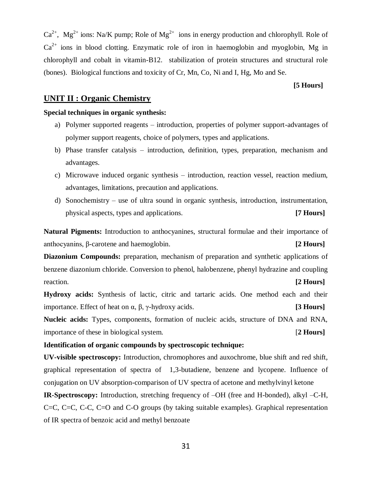31

 $Ca^{2+}$ , Mg<sup>2+</sup> ions: Na/K pump; Role of Mg<sup>2+</sup> ions in energy production and chlorophyll. Role of  $Ca^{2+}$  ions in blood clotting. Enzymatic role of iron in haemoglobin and myoglobin, Mg in chlorophyll and cobalt in vitamin-B12. stabilization of protein structures and structural role (bones). Biological functions and toxicity of Cr, Mn, Co, Ni and I, Hg, Mo and Se.

### **UNIT II : Organic Chemistry**

### **Special techniques in organic synthesis:**

- a) Polymer supported reagents introduction, properties of polymer support-advantages of polymer support reagents, choice of polymers, types and applications.
- b) Phase transfer catalysis introduction, definition, types, preparation, mechanism and advantages.
- c) Microwave induced organic synthesis introduction, reaction vessel, reaction medium, advantages, limitations, precaution and applications.
- d) Sonochemistry use of ultra sound in organic synthesis, introduction, instrumentation, physical aspects, types and applications. **[7 Hours]**

**Natural Pigments:** Introduction to anthocyanines, structural formulae and their importance of anthocyanins, β-carotene and haemoglobin. **[2 Hours]**

**Diazonium Compounds:** preparation, mechanism of preparation and synthetic applications of benzene diazonium chloride. Conversion to phenol, halobenzene, phenyl hydrazine and coupling reaction. **[2 Hours]**

**Hydroxy acids:** Synthesis of lactic, citric and tartaric acids. One method each and their importance. Effect of heat on α, β, γ-hydroxy acids. **[3 Hours]**

**Nucleic acids:** Types, components, formation of nucleic acids, structure of DNA and RNA, importance of these in biological system. [**2 Hours]**

### **Identification of organic compounds by spectroscopic technique:**

**UV-visible spectroscopy:** Introduction, chromophores and auxochrome, blue shift and red shift, graphical representation of spectra of 1,3-butadiene, benzene and lycopene. Influence of conjugation on UV absorption-comparison of UV spectra of acetone and methylvinyl ketone

**IR-Spectroscopy:** Introduction, stretching frequency of –OH (free and H-bonded), alkyl –C-H, C=C, C=C, C-C, C=O and C-O groups (by taking suitable examples). Graphical representation of IR spectra of benzoic acid and methyl benzoate

**[5 Hours]**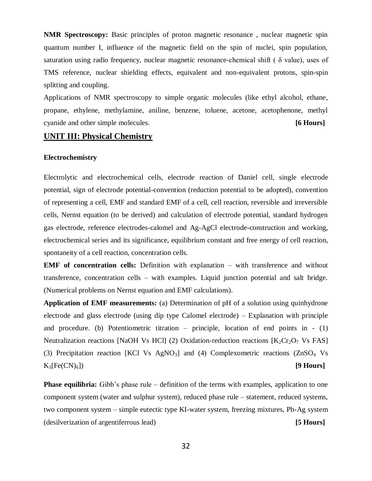**NMR Spectroscopy:** Basic principles of proton magnetic resonance , nuclear magnetic spin quantum number I, influence of the magnetic field on the spin of nuclei, spin population, saturation using radio frequency, nuclear magnetic resonance-chemical shift ( δ value), uses of TMS reference, nuclear shielding effects, equivalent and non-equivalent protons, spin-spin splitting and coupling.

Applications of NMR spectroscopy to simple organic molecules (like ethyl alcohol, ethane, propane, ethylene, methylamine, aniline, benzene, toluene, acetone, acetophenone, methyl cyanide and other simple molecules. **[6 Hours]**

### **UNIT III: Physical Chemistry**

#### **Electrochemistry**

Electrolytic and electrochemical cells, electrode reaction of Daniel cell, single electrode potential, sign of electrode potential-convention (reduction potential to be adopted), convention of representing a cell, EMF and standard EMF of a cell, cell reaction, reversible and irreversible cells, Nernst equation (to be derived) and calculation of electrode potential, standard hydrogen gas electrode, reference electrodes-calomel and Ag-AgCl electrode-construction and working, electrochemical series and its significance, equilibrium constant and free energy of cell reaction, spontaneity of a cell reaction, concentration cells.

**EMF of concentration cells:** Definition with explanation – with transference and without transference, concentration cells – with examples. Liquid junction potential and salt bridge. (Numerical problems on Nernst equation and EMF calculations).

**Application of EMF measurements:** (a) Determination of pH of a solution using quinhydrone electrode and glass electrode (using dip type Calomel electrode) – Explanation with principle and procedure. (b) Potentiometric titration – principle, location of end points in  $- (1)$ Neutralization reactions [NaOH Vs HCl] (2) Oxidation-reduction reactions  $[K_2Cr_2O_7$  Vs FAS] (3) Precipitation reaction [KCl Vs AgNO3] and (4) Complexometric reactions (ZnSO<sup>4</sup> Vs  $K_3[Fe(CN)_6]$  [9 **Hours**]

**Phase equilibria:** Gibb's phase rule – definition of the terms with examples, application to one component system (water and sulphur system), reduced phase rule – statement, reduced systems, two component system – simple eutectic type KI-water system, freezing mixtures, Pb-Ag system (desilverization of argentiferrous lead) **[5 Hours]**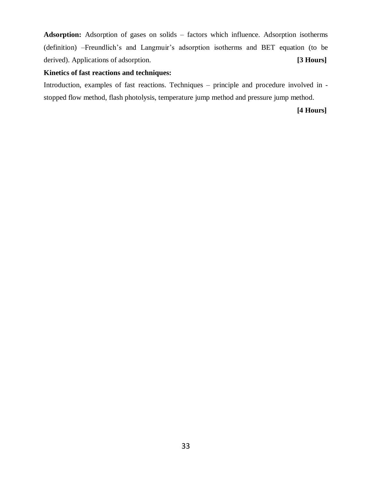**Adsorption:** Adsorption of gases on solids – factors which influence. Adsorption isotherms (definition) –Freundlich's and Langmuir's adsorption isotherms and BET equation (to be derived). Applications of adsorption. **[3 Hours]**

### **Kinetics of fast reactions and techniques:**

Introduction, examples of fast reactions. Techniques – principle and procedure involved in stopped flow method, flash photolysis, temperature jump method and pressure jump method.

### **[4 Hours]**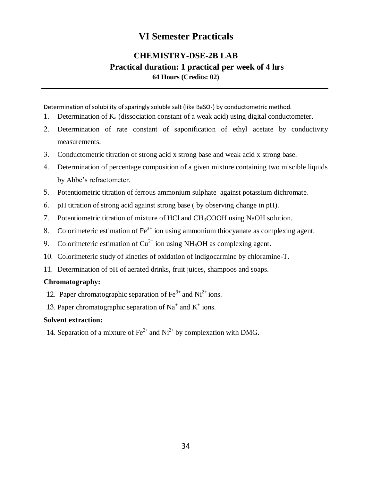## **VI Semester Practicals**

### **CHEMISTRY-DSE-2B LAB Practical duration: 1 practical per week of 4 hrs 64 Hours (Credits: 02)**

Determination of solubility of sparingly soluble salt (like BaSO $_4$ ) by conductometric method.

- 1. Determination of  $K_a$  (dissociation constant of a weak acid) using digital conductometer.
- 2. Determination of rate constant of saponification of ethyl acetate by conductivity measurements.
- 3. Conductometric titration of strong acid x strong base and weak acid x strong base.
- 4. Determination of percentage composition of a given mixture containing two miscible liquids by Abbe's refractometer.
- 5. Potentiometric titration of ferrous ammonium sulphate against potassium dichromate.
- 6. pH titration of strong acid against strong base ( by observing change in pH).
- 7. Potentiometric titration of mixture of HCl and CH3COOH using NaOH solution.
- 8. Colorimeteric estimation of  $\text{Fe}^{3+}$  ion using ammonium thiocyanate as complexing agent.
- 9. Colorimeteric estimation of  $Cu^{2+}$  ion using NH<sub>4</sub>OH as complexing agent.
- 10. Colorimeteric study of kinetics of oxidation of indigocarmine by chloramine-T.
- 11. Determination of pH of aerated drinks, fruit juices, shampoos and soaps.

### **Chromatography:**

- 12. Paper chromatographic separation of  $\text{Fe}^{3+}$  and  $\text{Ni}^{2+}$  ions.
- 13. Paper chromatographic separation of  $Na^+$  and  $K^+$  ions.

### **Solvent extraction:**

14. Separation of a mixture of  $\text{Fe}^{2+}$  and  $\text{Ni}^{2+}$  by complexation with DMG.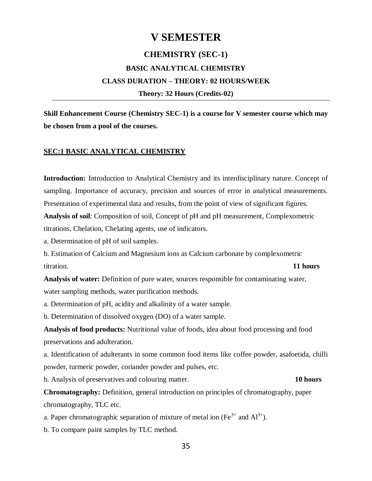### **V SEMESTER**

### **CHEMISTRY (SEC-1)**

### **BASIC ANALYTICAL CHEMISTRY CLASS DURATION – THEORY: 02 HOURS/WEEK**

**Theory: 32 Hours (Credits-02)**

**Skill Enhancement Course (Chemistry SEC-1) is a course for V semester course which may be chosen from a pool of the courses.**

### **SEC:1 BASIC ANALYTICAL CHEMISTRY**

**Introduction:** Introduction to Analytical Chemistry and its interdisciplinary nature. Concept of sampling. Importance of accuracy, precision and sources of error in analytical measurements. Presentation of experimental data and results, from the point of view of significant figures. **Analysis of soil**: Composition of soil, Concept of pH and pH measurement, Complexometric titrations, Chelation, Chelating agents, use of indicators.

a. Determination of pH of soil samples.

b. Estimation of Calcium and Magnesium ions as Calcium carbonate by complexometric titration. **11 hours**

**Analysis of water:** Definition of pure water, sources responsible for contaminating water, water sampling methods, water purification methods.

a. Determination of pH, acidity and alkalinity of a water sample.

b. Determination of dissolved oxygen (DO) of a water sample.

**Analysis of food products:** Nutritional value of foods, idea about food processing and food preservations and adulteration.

a. Identification of adulterants in some common food items like coffee powder, asafoetida, chilli powder, turmeric powder, coriander powder and pulses, etc.

b. Analysis of preservatives and colouring matter. **10 hours**

**Chromatography:** Definition, general introduction on principles of chromatography, paper chromatography, TLC etc.

- a. Paper chromatographic separation of mixture of metal ion (Fe<sup>3+</sup> and Al<sup>3+</sup>).
- b. To compare paint samples by TLC method.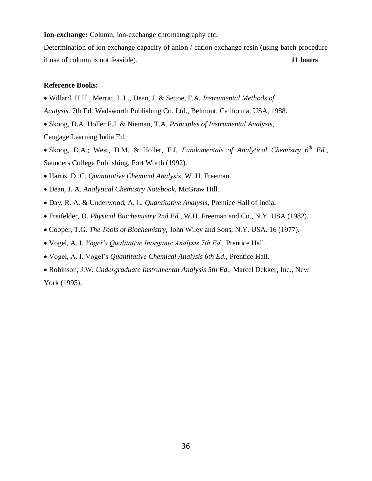**Ion-exchange:** Column, ion-exchange chromatography etc.

Determination of ion exchange capacity of anion / cation exchange resin (using batch procedure if use of column is not feasible). **11 hours**

#### **Reference Books:**

- Willard, H.H., Merritt, L.L., Dean, J. & Settoe, F.A. *Instrumental Methods of*
- *Analysis*. 7th Ed. Wadsworth Publishing Co. Ltd., Belmont, California, USA, 1988.
- Skoog, D.A. Holler F.J. & Nieman, T.A. *Principles of Instrumental Analysis*,

Cengage Learning India Ed.

- Skoog, D.A.; West, D.M. & Holler, F.J. *Fundamentals of Analytical Chemistry 6th Ed.,*  Saunders College Publishing, Fort Worth (1992).
- Harris, D. C. *Quantitative Chemical Analysis*, W. H. Freeman.
- Dean, J. A. *Analytical Chemistry Notebook*, McGraw Hill.
- Day, R. A. & Underwood, A. L. *Quantitative Analysis*, Prentice Hall of India.
- Freifelder, D. *Physical Biochemistry 2nd Ed.,* W.H. Freeman and Co., N.Y. USA (1982).
- Cooper, T.G. *The Tools of Biochemistry,* John Wiley and Sons, N.Y. USA. 16 (1977).
- Vogel, A. I. *Vogel's Qualitative Inorganic Analysis 7th Ed.,* Prentice Hall.
- Vogel, A. I. Vogel's *Quantitative Chemical Analysis 6th Ed.,* Prentice Hall.
- Robinson, J.W. *Undergraduate Instrumental Analysis 5th Ed.,* Marcel Dekker, Inc., New York (1995).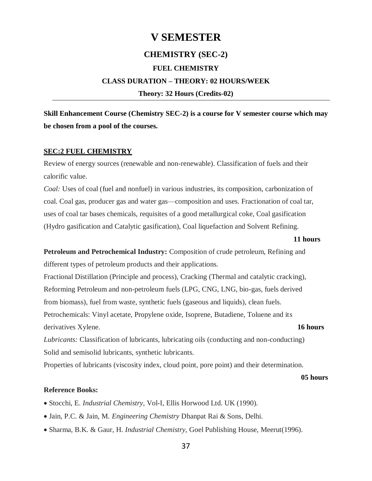# **V SEMESTER CHEMISTRY (SEC-2) FUEL CHEMISTRY CLASS DURATION – THEORY: 02 HOURS/WEEK Theory: 32 Hours (Credits-02)**

**Skill Enhancement Course (Chemistry SEC-2) is a course for V semester course which may be chosen from a pool of the courses.**

### **SEC:2 FUEL CHEMISTRY**

Review of energy sources (renewable and non-renewable). Classification of fuels and their calorific value.

*Coal:* Uses of coal (fuel and nonfuel) in various industries, its composition, carbonization of coal. Coal gas, producer gas and water gas—composition and uses. Fractionation of coal tar, uses of coal tar bases chemicals, requisites of a good metallurgical coke, Coal gasification (Hydro gasification and Catalytic gasification), Coal liquefaction and Solvent Refining.

#### **11 hours**

**Petroleum and Petrochemical Industry:** Composition of crude petroleum, Refining and different types of petroleum products and their applications.

Fractional Distillation (Principle and process), Cracking (Thermal and catalytic cracking), Reforming Petroleum and non-petroleum fuels (LPG, CNG, LNG, bio-gas, fuels derived from biomass), fuel from waste, synthetic fuels (gaseous and liquids), clean fuels. Petrochemicals: Vinyl acetate, Propylene oxide, Isoprene, Butadiene, Toluene and its derivatives Xylene. **16 hours**

*Lubricants:* Classification of lubricants, lubricating oils (conducting and non-conducting) Solid and semisolid lubricants, synthetic lubricants.

Properties of lubricants (viscosity index, cloud point, pore point) and their determination.

#### **05 hours**

#### **Reference Books:**

- Stocchi, E. *Industrial Chemistry*, Vol-I, Ellis Horwood Ltd. UK (1990).
- Jain, P.C. & Jain, M. *Engineering Chemistry* Dhanpat Rai & Sons, Delhi.
- Sharma, B.K. & Gaur, H. *Industrial Chemistry,* Goel Publishing House, Meerut(1996).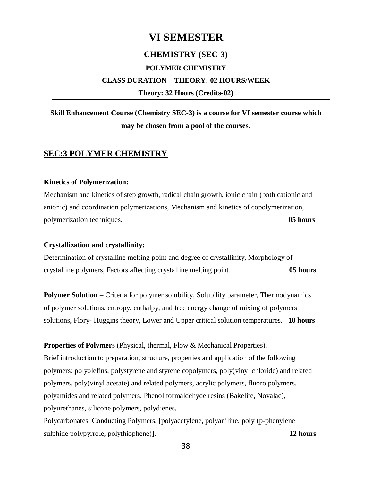### **VI SEMESTER**

### **CHEMISTRY (SEC-3)**

### **POLYMER CHEMISTRY**

#### **CLASS DURATION – THEORY: 02 HOURS/WEEK**

**Theory: 32 Hours (Credits-02)**

### **Skill Enhancement Course (Chemistry SEC-3) is a course for VI semester course which may be chosen from a pool of the courses.**

### **SEC:3 POLYMER CHEMISTRY**

#### **Kinetics of Polymerization:**

Mechanism and kinetics of step growth, radical chain growth, ionic chain (both cationic and anionic) and coordination polymerizations, Mechanism and kinetics of copolymerization, polymerization techniques. **05 hours**

#### **Crystallization and crystallinity:**

Determination of crystalline melting point and degree of crystallinity, Morphology of crystalline polymers, Factors affecting crystalline melting point. **05 hours**

**Polymer Solution** – Criteria for polymer solubility, Solubility parameter, Thermodynamics of polymer solutions, entropy, enthalpy, and free energy change of mixing of polymers solutions, Flory- Huggins theory, Lower and Upper critical solution temperatures. **10 hours**

**Properties of Polymer**s (Physical, thermal, Flow & Mechanical Properties). Brief introduction to preparation, structure, properties and application of the following polymers: polyolefins, polystyrene and styrene copolymers, poly(vinyl chloride) and related polymers, poly(vinyl acetate) and related polymers, acrylic polymers, fluoro polymers, polyamides and related polymers. Phenol formaldehyde resins (Bakelite, Novalac), polyurethanes, silicone polymers, polydienes,

Polycarbonates, Conducting Polymers, [polyacetylene, polyaniline, poly (p-phenylene sulphide polypyrrole, polythiophene)]. **12 hours**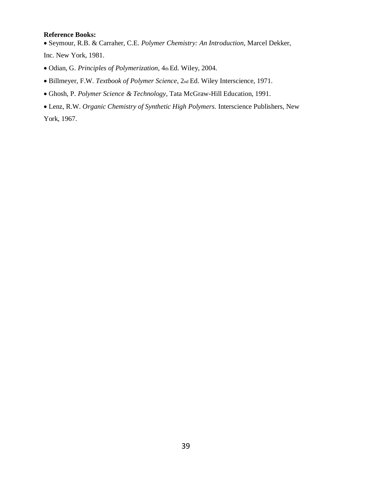### **Reference Books:**

Seymour, R.B. & Carraher, C.E. *Polymer Chemistry: An Introduction,* Marcel Dekker, Inc. New York, 1981.

- Odian, G. *Principles of Polymerization*, 4th Ed. Wiley, 2004.
- Billmeyer, F.W. *Textbook of Polymer Science*, 2nd Ed. Wiley Interscience, 1971.
- Ghosh, P. *Polymer Science & Technology*, Tata McGraw-Hill Education, 1991.
- Lenz, R.W. *Organic Chemistry of Synthetic High Polymers.* Interscience Publishers, New York, 1967.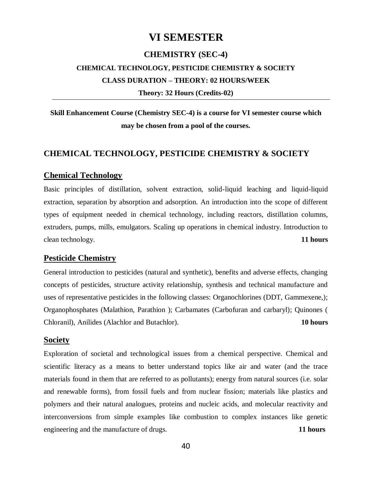### **VI SEMESTER**

### **CHEMISTRY (SEC-4)**

### **CHEMICAL TECHNOLOGY, PESTICIDE CHEMISTRY & SOCIETY CLASS DURATION – THEORY: 02 HOURS/WEEK**

**Theory: 32 Hours (Credits-02)**

**Skill Enhancement Course (Chemistry SEC-4) is a course for VI semester course which may be chosen from a pool of the courses.**

### **CHEMICAL TECHNOLOGY, PESTICIDE CHEMISTRY & SOCIETY**

### **Chemical Technology**

Basic principles of distillation, solvent extraction, solid-liquid leaching and liquid-liquid extraction, separation by absorption and adsorption. An introduction into the scope of different types of equipment needed in chemical technology, including reactors, distillation columns, extruders, pumps, mills, emulgators. Scaling up operations in chemical industry. Introduction to clean technology. **11 hours**

### **Pesticide Chemistry**

General introduction to pesticides (natural and synthetic), benefits and adverse effects, changing concepts of pesticides, structure activity relationship, synthesis and technical manufacture and uses of representative pesticides in the following classes: Organochlorines (DDT, Gammexene,); Organophosphates (Malathion, Parathion ); Carbamates (Carbofuran and carbaryl); Quinones ( Chloranil), Anilides (Alachlor and Butachlor). **10 hours**

### **Society**

Exploration of societal and technological issues from a chemical perspective. Chemical and scientific literacy as a means to better understand topics like air and water (and the trace materials found in them that are referred to as pollutants); energy from natural sources (i.e. solar and renewable forms), from fossil fuels and from nuclear fission; materials like plastics and polymers and their natural analogues, proteins and nucleic acids, and molecular reactivity and interconversions from simple examples like combustion to complex instances like genetic engineering and the manufacture of drugs. **11 hours**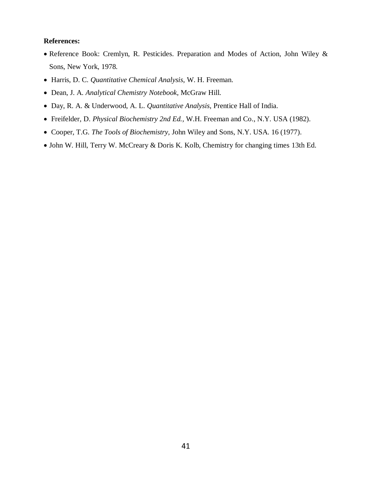### **References:**

- Reference Book: Cremlyn, R. Pesticides. Preparation and Modes of Action, John Wiley & Sons, New York, 1978.
- Harris, D. C. *Quantitative Chemical Analysis*, W. H. Freeman.
- Dean, J. A. *Analytical Chemistry Notebook*, McGraw Hill.
- Day, R. A. & Underwood, A. L. *Quantitative Analysis*, Prentice Hall of India.
- Freifelder, D. *Physical Biochemistry 2nd Ed.,* W.H. Freeman and Co., N.Y. USA (1982).
- Cooper, T.G. *The Tools of Biochemistry,* John Wiley and Sons, N.Y. USA. 16 (1977).
- John W. Hill, Terry W. McCreary & Doris K. Kolb, Chemistry for changing times 13th Ed.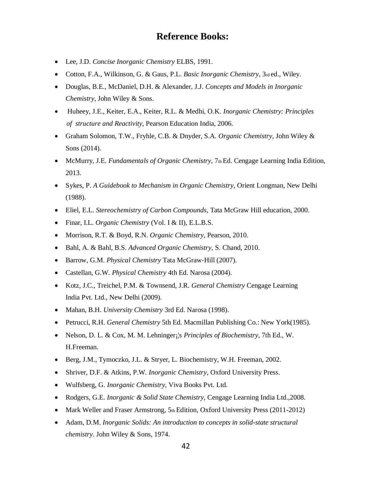### **Reference Books:**

- Lee, J.D. *Concise Inorganic Chemistry* ELBS, 1991.
- Cotton, F.A., Wilkinson, G. & Gaus, P.L. *Basic Inorganic Chemistry*, 3rd ed., Wiley.
- Douglas, B.E., McDaniel, D.H. & Alexander, J.J. *Concepts and Models in Inorganic Chemistry*, John Wiley & Sons.
- Huheey, J.E., Keiter, E.A., Keiter, R.L. & Medhi, O.K. *Inorganic Chemistry: Principles of structure and Reactivity*, Pearson Education India, 2006.
- Graham Solomon, T.W., Fryhle, C.B. & Dnyder, S.A. *Organic Chemistry,* John Wiley & Sons (2014).
- **McMurry, J.E.** *Fundamentals of Organic Chemistry*, 7th Ed. Cengage Learning India Edition, 2013.
- Sykes, P. *A Guidebook to Mechanism in Organic Chemistry,* Orient Longman, New Delhi (1988).
- Eliel, E.L. *Stereochemistry of Carbon Compounds*, Tata McGraw Hill education, 2000.
- Finar, I.L. *Organic Chemistry* (Vol. I & II), E.L.B.S.
- Morrison, R.T. & Boyd, R.N. *Organic Chemistry*, Pearson, 2010.
- Bahl, A. & Bahl, B.S. *Advanced Organic Chemistry,* S. Chand, 2010.
- Barrow, G.M. *Physical Chemistry* Tata McGraw‐Hill (2007).
- Castellan, G.W. *Physical Chemistry* 4th Ed. Narosa (2004).
- Kotz, J.C., Treichel, P.M. & Townsend, J.R. *General Chemistry* Cengage Learning India Pvt. Ltd., New Delhi (2009).
- Mahan, B.H. *University Chemistry* 3rd Ed. Narosa (1998).
- Petrucci, R.H. *General Chemistry* 5th Ed. Macmillan Publishing Co.: New York(1985).
- Nelson, D. L. & Cox, M. M. Lehninger¡¦s *Principles of Biochemistry*, 7th Ed., W. H.Freeman.
- Berg, J.M., Tymoczko, J.L. & Stryer, L. Biochemistry, W.H. Freeman, 2002.
- Shriver, D.F. & Atkins, P.W. *Inorganic Chemistry*, Oxford University Press.
- Wulfsberg, G. *Inorganic Chemistry,* Viva Books Pvt. Ltd.
- Rodgers, G.E. *Inorganic & Solid State Chemistry,* Cengage Learning India Ltd.,2008.
- Mark Weller and Fraser Armstrong,  $5<sub>th</sub>$  Edition, Oxford University Press (2011-2012)
- Adam, D.M. *Inorganic Solids: An introduction to concepts in solid-state structural chemistry*. John Wiley & Sons, 1974.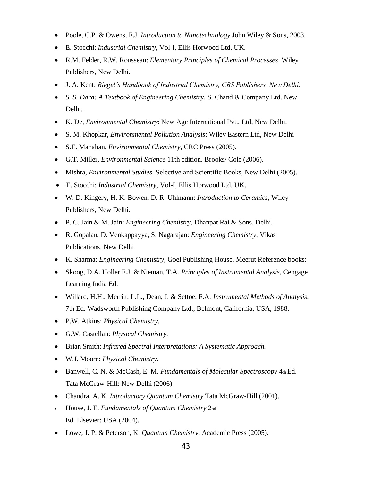- Poole, C.P. & Owens, F.J. *Introduction to Nanotechnology* John Wiley & Sons, 2003.
- E. Stocchi: *Industrial Chemistry*, Vol-I, Ellis Horwood Ltd. UK.
- R.M. Felder, R.W. Rousseau: *Elementary Principles of Chemical Processes*, Wiley Publishers, New Delhi.
- J. A. Kent: *Riegel's Handbook of Industrial Chemistry, CBS Publishers, New Delhi.*
- *S. S. Dara: A Textbook of Engineering Chemistry*, S. Chand & Company Ltd. New Delhi.
- K. De, *Environmental Chemistry*: New Age International Pvt., Ltd, New Delhi.
- S. M. Khopkar, *Environmental Pollution Analysis*: Wiley Eastern Ltd, New Delhi
- S.E. Manahan, *Environmental Chemistry*, CRC Press (2005).
- G.T. Miller, *Environmental Science* 11th edition. Brooks/ Cole (2006).
- Mishra, *Environmental Studies*. Selective and Scientific Books, New Delhi (2005).
- E. Stocchi: *Industrial Chemistry*, Vol-I, Ellis Horwood Ltd. UK.
- W. D. Kingery, H. K. Bowen, D. R. Uhlmann: *Introduction to Ceramics,* Wiley Publishers, New Delhi.
- P. C. Jain & M. Jain: *Engineering Chemistry,* Dhanpat Rai & Sons, Delhi.
- R. Gopalan, D. Venkappayya, S. Nagarajan: *Engineering Chemistry,* Vikas Publications, New Delhi.
- K. Sharma: *Engineering Chemistry*, Goel Publishing House, Meerut Reference books:
- Skoog, D.A. Holler F.J. & Nieman, T.A. *Principles of Instrumental Analysis,* Cengage Learning India Ed.
- Willard, H.H., Merritt, L.L., Dean, J. & Settoe, F.A. *Instrumental Methods of Analysis,* 7th Ed. Wadsworth Publishing Company Ltd., Belmont, California, USA, 1988.
- P.W. Atkins: *Physical Chemistry.*
- G.W. Castellan: *Physical Chemistry.*
- Brian Smith: *Infrared Spectral Interpretations: A Systematic Approach.*
- W.J. Moore: *Physical Chemistry.*
- Banwell, C. N. & McCash, E. M. *Fundamentals of Molecular Spectroscopy* 4th Ed. Tata McGraw-Hill: New Delhi (2006).
- Chandra, A. K. *Introductory Quantum Chemistry* Tata McGraw-Hill (2001).
- House, J. E. *Fundamentals of Quantum Chemistry* 2nd Ed. Elsevier: USA (2004).
- Lowe, J. P. & Peterson, K. *Quantum Chemistry*, Academic Press (2005).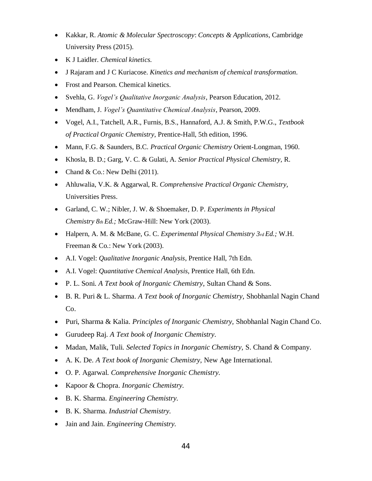- Kakkar, R. *Atomic & Molecular Spectroscopy*: *Concepts & Applications*, Cambridge University Press (2015).
- K J Laidler. *Chemical kinetics.*
- J Rajaram and J C Kuriacose. *Kinetics and mechanism of chemical transformation.*
- Frost and Pearson. Chemical kinetics.
- Svehla, G. *Vogel's Qualitative Inorganic Analysis*, Pearson Education, 2012.
- Mendham, J. *Vogel's Quantitative Chemical Analysis*, Pearson, 2009.
- Vogel, A.I., Tatchell, A.R., Furnis, B.S., Hannaford, A.J. & Smith, P.W.G., *Textbook of Practical Organic Chemistry*, Prentice-Hall, 5th edition, 1996.
- Mann, F.G. & Saunders, B.C. *Practical Organic Chemistry* Orient-Longman, 1960.
- Khosla, B. D.; Garg, V. C. & Gulati, A. *Senior Practical Physical Chemistry,* R.
- Chand & Co.: New Delhi  $(2011)$ .
- Ahluwalia, V.K. & Aggarwal, R. *Comprehensive Practical Organic Chemistry,* Universities Press.
- Garland, C. W.; Nibler, J. W. & Shoemaker, D. P. *Experiments in Physical Chemistry 8th Ed.;* McGraw-Hill: New York (2003).
- Halpern, A. M. & McBane, G. C. *Experimental Physical Chemistry 3rd Ed.;* W.H. Freeman & Co.: New York (2003).
- A.I. Vogel: *Qualitative Inorganic Analysis*, Prentice Hall, 7th Edn.
- A.I. Vogel: *Quantitative Chemical Analysis*, Prentice Hall, 6th Edn.
- P. L. Soni. *A Text book of Inorganic Chemistry*, Sultan Chand & Sons.
- B. R. Puri & L. Sharma. *A Text book of Inorganic Chemistry,* Shobhanlal Nagin Chand Co.
- Puri, Sharma & Kalia. *Principles of Inorganic Chemistry,* Shobhanlal Nagin Chand Co.
- Gurudeep Raj. *A Text book of Inorganic Chemistry.*
- Madan, Malik, Tuli. *Selected Topics in Inorganic Chemistry,* S. Chand & Company.
- A. K. De. *A Text book of Inorganic Chemistry,* New Age International.
- O. P. Agarwal. *Comprehensive Inorganic Chemistry.*
- Kapoor & Chopra. *Inorganic Chemistry.*
- B. K. Sharma. *Engineering Chemistry.*
- B. K. Sharma. *Industrial Chemistry.*
- Jain and Jain. *Engineering Chemistry.*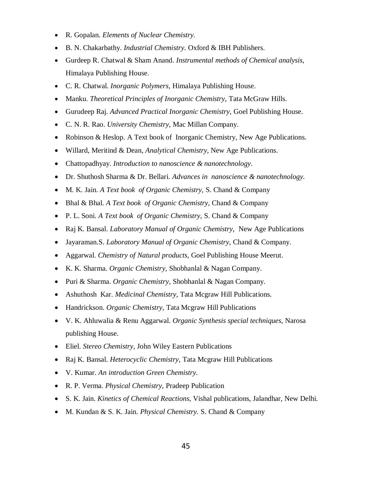- R. Gopalan. *Elements of Nuclear Chemistry.*
- B. N. Chakarbathy. *Industrial Chemistry.* Oxford & IBH Publishers.
- Gurdeep R. Chatwal & Sham Anand. *Instrumental methods of Chemical analysis,* Himalaya Publishing House.
- C. R. Chatwal. *Inorganic Polymers,* Himalaya Publishing House.
- Manku. *Theoretical Principles of Inorganic Chemistry,* Tata McGraw Hills.
- Gurudeep Raj. *Advanced Practical Inorganic Chemistry,* Goel Publishing House.
- C. N. R. Rao. *University Chemistry,* Mac Millan Company.
- Robinson & Heslop. A Text book of Inorganic Chemistry, New Age Publications.
- Willard, Meritind & Dean, *Analytical Chemistry,* New Age Publications.
- Chattopadhyay. *Introduction to nanoscience & nanotechnology.*
- Dr. Shuthosh Sharma & Dr. Bellari. *Advances in nanoscience & nanotechnology.*
- M. K. Jain. *A Text book of Organic Chemistry,* S. Chand & Company
- Bhal & Bhal. *A Text book of Organic Chemistry*, Chand & Company
- P. L. Soni. *A Text book of Organic Chemistry,* S. Chand & Company
- Raj K. Bansal. *Laboratory Manual of Organic Chemistry,* New Age Publications
- Jayaraman.S. *Laboratory Manual of Organic Chemistry,* Chand & Company.
- Aggarwal. *Chemistry of Natural products,* Goel Publishing House Meerut.
- K. K. Sharma. *Organic Chemistry,* Shobhanlal & Nagan Company.
- Puri & Sharma. *Organic Chemistry*, Shobhanlal & Nagan Company.
- Ashuthosh Kar. *Medicinal Chemistry,* Tata Mcgraw Hill Publications.
- Handrickson. *Organic Chemistry,* Tata Mcgraw Hill Publications
- V. K. Ahluwalia & Renu Aggarwal. *Organic Synthesis special techniques,* Narosa publishing House.
- Eliel. *Stereo Chemistry*, John Wiley Eastern Publications
- Raj K. Bansal. *Heterocyclic Chemistry,* Tata Mcgraw Hill Publications
- V. Kumar. *An introduction Green Chemistry.*
- R. P. Verma. *Physical Chemistry*, Pradeep Publication
- S. K. Jain. *Kinetics of Chemical Reactions,* Vishal publications, Jalandhar, New Delhi.
- M. Kundan & S. K. Jain. *Physical Chemistry.* S. Chand & Company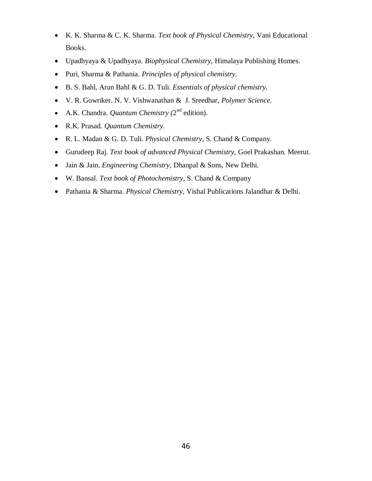- K. K. Sharma & C. K. Sharma. *Text book of Physical Chemistry*, Vani Educational Books.
- Upadhyaya & Upadhyaya. *Biophysical Chemistry,* Himalaya Publishing Homes.
- Puri, Sharma & Pathania. *Principles of physical chemistry.*
- B. S. Bahl, Arun Bahl & G. D. Tuli. *Essentials of physical chemistry.*
- V. R. Gowriker. N. V. Vishwanathan & J. Sreedhar, *Polymer Science.*
- A.K. Chandra. *Quantum Chemistry* ( $2^{nd}$  edition).
- R.K. Prasad. *Quantum Chemistry.*
- R. L. Madan & G. D. Tuli. *Physical Chemistry*, S. Chand & Company.
- Gurudeep Raj. *Text book of advanced Physical Chemistry,* Goel Prakashan. Meerut.
- Jain & Jain. *Engineering Chemistry,* Dhanpal & Sons, New Delhi.
- W. Bansal. *Text book of Photochemistry*, S. Chand & Company
- Pathania & Sharma. *Physical Chemistry,* Vishal Publications Jalandhar & Delhi.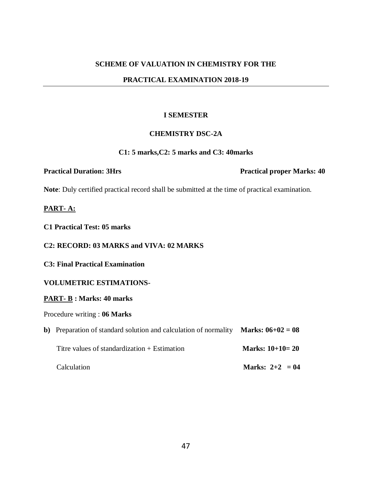### **PRACTICAL EXAMINATION 2018-19**

### **I SEMESTER**

### **CHEMISTRY DSC-2A**

#### **C1: 5 marks,C2: 5 marks and C3: 40marks**

**Note**: Duly certified practical record shall be submitted at the time of practical examination.

### **PART- A:**

**C1 Practical Test: 05 marks** 

### **C2: RECORD: 03 MARKS and VIVA: 02 MARKS**

**C3: Final Practical Examination**

### **VOLUMETRIC ESTIMATIONS-**

#### **PART- B : Marks: 40 marks**

### Procedure writing : **06 Marks**

| b) Preparation of standard solution and calculation of normality <b>Marks: <math>06+02 = 08</math></b> |                   |
|--------------------------------------------------------------------------------------------------------|-------------------|
| Titre values of standardization $+$ Estimation                                                         | Marks: $10+10=20$ |
| Calculation                                                                                            | Marks: $2+2 = 04$ |

**Practical Duration: 3Hrs Practical proper Marks: 40**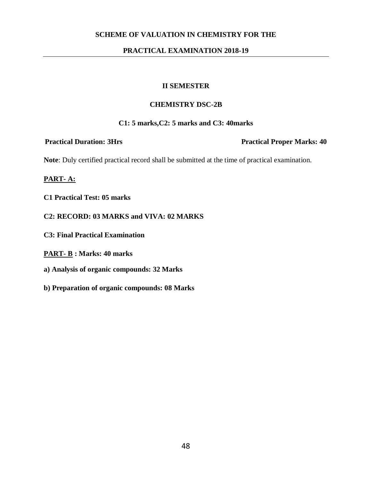### **PRACTICAL EXAMINATION 2018-19**

### **II SEMESTER**

### **CHEMISTRY DSC-2B**

### **C1: 5 marks,C2: 5 marks and C3: 40marks**

**Practical Duration: 3Hrs Practical Proper Marks: 40** 

**Note**: Duly certified practical record shall be submitted at the time of practical examination.

- **C1 Practical Test: 05 marks**
- **C2: RECORD: 03 MARKS and VIVA: 02 MARKS**
- **C3: Final Practical Examination**
- **PART- B : Marks: 40 marks**
- **a) Analysis of organic compounds: 32 Marks**
- **b) Preparation of organic compounds: 08 Marks**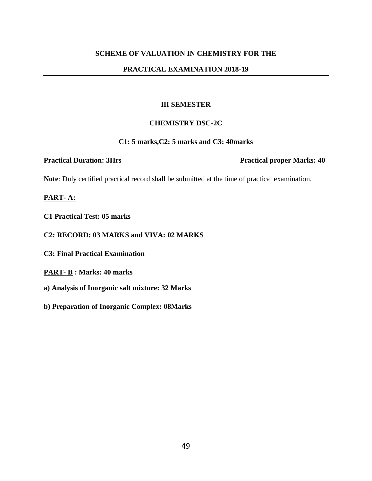### **PRACTICAL EXAMINATION 2018-19**

### **III SEMESTER**

### **CHEMISTRY DSC-2C**

### **C1: 5 marks,C2: 5 marks and C3: 40marks**

**Practical Duration: 3Hrs Practical proper Marks: 40** 

**Note**: Duly certified practical record shall be submitted at the time of practical examination.

- **C1 Practical Test: 05 marks**
- **C2: RECORD: 03 MARKS and VIVA: 02 MARKS**
- **C3: Final Practical Examination**
- **PART- B : Marks: 40 marks**
- **a) Analysis of Inorganic salt mixture: 32 Marks**
- **b) Preparation of Inorganic Complex: 08Marks**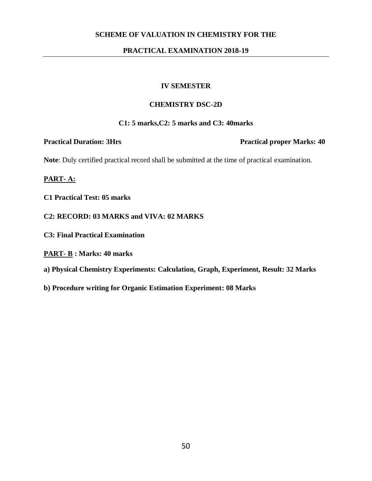### **PRACTICAL EXAMINATION 2018-19**

### **IV SEMESTER**

### **CHEMISTRY DSC-2D**

### **C1: 5 marks,C2: 5 marks and C3: 40marks**

**Practical Duration: 3Hrs Practical proper Marks: 40** 

**Note**: Duly certified practical record shall be submitted at the time of practical examination.

- **C1 Practical Test: 05 marks**
- **C2: RECORD: 03 MARKS and VIVA: 02 MARKS**
- **C3: Final Practical Examination**
- **PART- B : Marks: 40 marks**
- **a) Physical Chemistry Experiments: Calculation, Graph, Experiment, Result: 32 Marks**
- **b) Procedure writing for Organic Estimation Experiment: 08 Marks**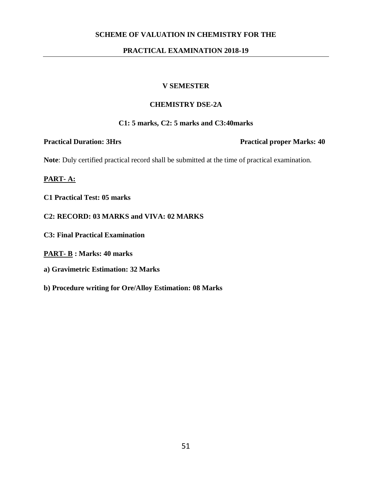### **PRACTICAL EXAMINATION 2018-19**

### **V SEMESTER**

### **CHEMISTRY DSE-2A**

### **C1: 5 marks, C2: 5 marks and C3:40marks**

**Practical Duration: 3Hrs Practical proper Marks: 40** 

**Note**: Duly certified practical record shall be submitted at the time of practical examination.

- **C1 Practical Test: 05 marks**
- **C2: RECORD: 03 MARKS and VIVA: 02 MARKS**
- **C3: Final Practical Examination**
- **PART- B : Marks: 40 marks**
- **a) Gravimetric Estimation: 32 Marks**
- **b) Procedure writing for Ore/Alloy Estimation: 08 Marks**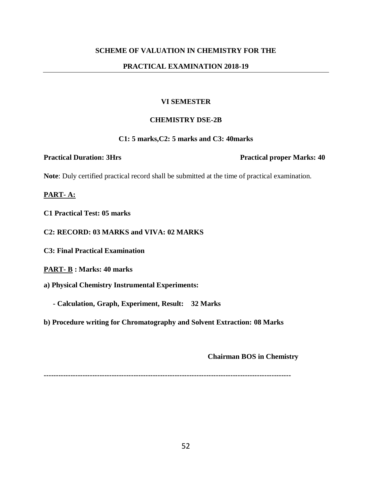### **PRACTICAL EXAMINATION 2018-19**

### **VI SEMESTER**

### **CHEMISTRY DSE-2B**

### **C1: 5 marks,C2: 5 marks and C3: 40marks**

**Practical Duration: 3Hrs Practical proper Marks: 40** 

**Note**: Duly certified practical record shall be submitted at the time of practical examination.

**PART- A:**

**C1 Practical Test: 05 marks** 

**C2: RECORD: 03 MARKS and VIVA: 02 MARKS**

**C3: Final Practical Examination**

**PART- B : Marks: 40 marks** 

**a) Physical Chemistry Instrumental Experiments:** 

 **- Calculation, Graph, Experiment, Result: 32 Marks** 

**b) Procedure writing for Chromatography and Solvent Extraction: 08 Marks** 

 **Chairman BOS in Chemistry** 

**------------------------------------------------------------------------------------------------------**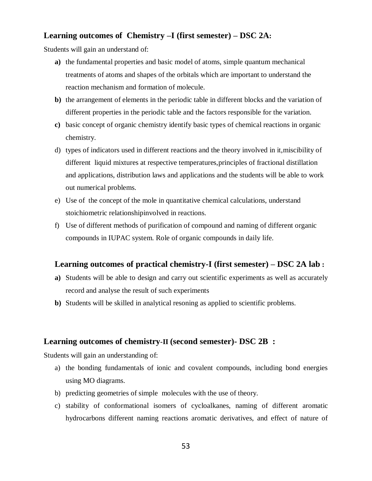### **Learning outcomes of Chemistry –I (first semester) – DSC 2A:**

Students will gain an understand of:

- **a)** the fundamental properties and basic model of atoms, simple quantum mechanical treatments of atoms and shapes of the orbitals which are important to understand the reaction mechanism and formation of molecule.
- **b)** the arrangement of elements in the periodic table in different blocks and the variation of different properties in the periodic table and the factors responsible for the variation.
- **c)** basic concept of organic chemistry identify basic types of chemical reactions in organic chemistry.
- d) types of indicators used in different reactions and the theory involved in it,miscibility of different liquid mixtures at respective temperatures,principles of fractional distillation and applications, distribution laws and applications and the students will be able to work out numerical problems.
- e) Use of the concept of the mole in quantitative chemical calculations, understand stoichiometric relationshipinvolved in reactions.
- f) Use of different methods of purification of compound and naming of different organic compounds in IUPAC system. Role of organic compounds in daily life.

### **Learning outcomes of practical chemistry-I (first semester) – DSC 2A lab :**

- **a)** Students will be able to design and carry out scientific experiments as well as accurately record and analyse the result of such experiments
- **b)** Students will be skilled in analytical resoning as applied to scientific problems.

### **Learning outcomes of chemistry-II (second semester)- DSC 2B :**

Students will gain an understanding of:

- a) the bonding fundamentals of ionic and covalent compounds, including bond energies using MO diagrams.
- b) predicting geometries of simple molecules with the use of theory.
- c) stability of conformational isomers of cycloalkanes, naming of different aromatic hydrocarbons different naming reactions aromatic derivatives, and effect of nature of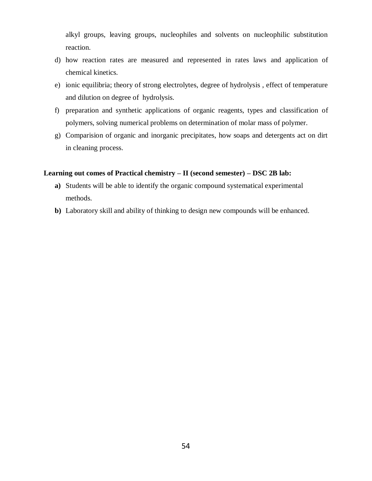alkyl groups, leaving groups, nucleophiles and solvents on nucleophilic substitution reaction.

- d) how reaction rates are measured and represented in rates laws and application of chemical kinetics.
- e) ionic equilibria; theory of strong electrolytes, degree of hydrolysis , effect of temperature and dilution on degree of hydrolysis.
- f) preparation and synthetic applications of organic reagents, types and classification of polymers, solving numerical problems on determination of molar mass of polymer.
- g) Comparision of organic and inorganic precipitates, how soaps and detergents act on dirt in cleaning process.

### **Learning out comes of Practical chemistry – II (second semester) – DSC 2B lab:**

- **a)** Students will be able to identify the organic compound systematical experimental methods.
- **b)** Laboratory skill and ability of thinking to design new compounds will be enhanced.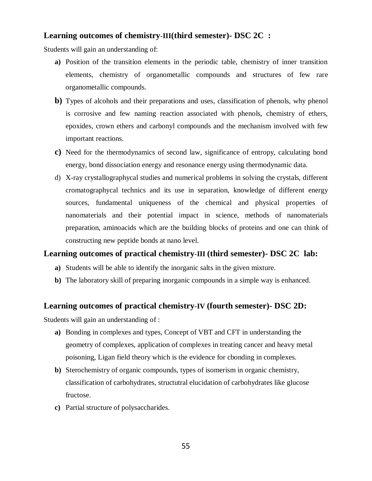### **Learning outcomes of chemistry-III(third semester)- DSC 2C :**

Students will gain an understanding of:

- **a)** Position of the transition elements in the periodic table, chemistry of inner transition elements, chemistry of organometallic compounds and structures of few rare organometallic compounds.
- **b)** Types of alcohols and their preparations and uses, classification of phenols, why phenol is corrosive and few naming reaction associated with phenols, chemistry of ethers, epoxides, crown ethers and carbonyl compounds and the mechanism involved with few important reactions.
- **c)** Need for the thermodynamics of second law, significance of entropy, calculating bond energy, bond dissociation energy and resonance energy using thermodynamic data.
- d) X-ray crystallographycal studies and numerical problems in solving the crystals, different cromatographycal technics and its use in separation, knowledge of different energy sources, fundamental uniqueness of the chemical and physical properties of nanomaterials and their potential impact in science, methods of nanomaterials preparation, aminoacids which are the building blocks of proteins and one can think of constructing new peptide bonds at nano level.

### **Learning outcomes of practical chemistry-III (third semester)- DSC 2C lab:**

- **a)** Students will be able to identify the inorganic salts in the given mixture.
- **b)** The laboratory skill of preparing inorganic compounds in a simple way is enhanced.

### **Learning outcomes of practical chemistry-IV (fourth semester)- DSC 2D:**

Students will gain an understanding of :

- **a)** Bonding in complexes and types, Concept of VBT and CFT in understanding the geometry of complexes, application of complexes in treating cancer and heavy metal poisoning, Ligan field theory which is the evidence for cbonding in complexes.
- **b)** Sterochemistry of organic compounds, types of isomerism in organic chemistry, classification of carbohydrates, structutral elucidation of carbohydrates like glucose fructose.
- **c)** Partial structure of polysaccharides.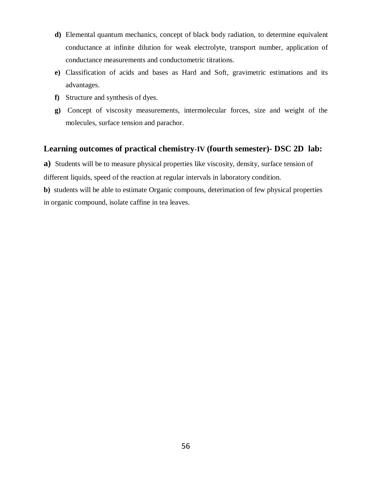- **d)** Elemental quantum mechanics, concept of black body radiation, to determine equivalent conductance at infinite dilution for weak electrolyte, transport number, application of conductance measurements and conductometric titrations.
- **e)** Classification of acids and bases as Hard and Soft, gravimetric estimations and its advantages.
- **f)** Structure and synthesis of dyes.
- **g)** Concept of viscosity measurements, intermolecular forces, size and weight of the molecules, surface tension and parachor.

### **Learning outcomes of practical chemistry-IV (fourth semester)- DSC 2D lab:**

**a)** Students will be to measure physical properties like viscosity, density, surface tension of different liquids, speed of the reaction at regular intervals in laboratory condition.

**b)** students will be able to estimate Organic compouns, deterimation of few physical properties in organic compound, isolate caffine in tea leaves.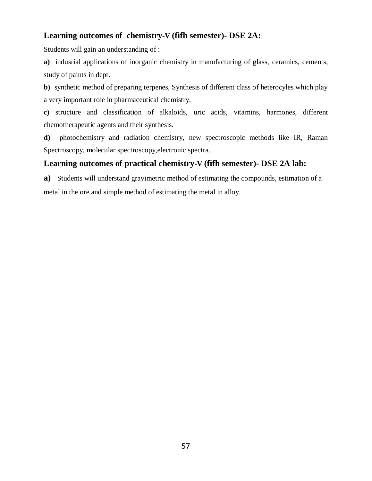### **Learning outcomes of chemistry-V (fifh semester)- DSE 2A:**

Students will gain an understanding of :

**a)** indusrial applications of inorganic chemistry in manufacturing of glass, ceramics, cements, study of paints in dept.

**b)** synthetic method of preparing terpenes, Synthesis of different class of heterocyles which play a very important role in pharmaceutical chemistry.

**c)** structure and classification of alkaloids, uric acids, vitamins, harmones, different chemotherapeutic agents and their synthesis.

**d)** photochemistry and radiation chemistry, new spectroscopic methods like IR, Raman Spectroscopy, molecular spectroscopy,electronic spectra.

### **Learning outcomes of practical chemistry-V (fifh semester)- DSE 2A lab:**

**a)** Students will understand gravimetric method of estimating the compounds, estimation of a metal in the ore and simple method of estimating the metal in alloy.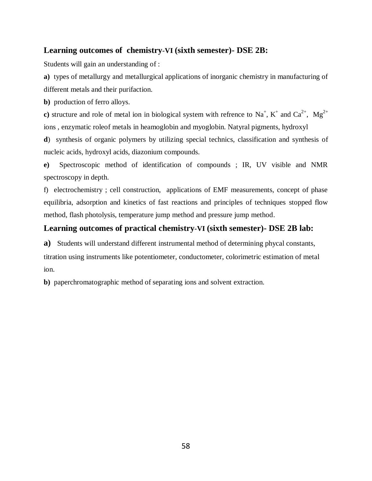### **Learning outcomes of chemistry-VI (sixth semester)- DSE 2B:**

Students will gain an understanding of :

**a)** types of metallurgy and metallurgical applications of inorganic chemistry in manufacturing of different metals and their purifaction.

**b**) production of ferro alloys.

c) structure and role of metal ion in biological system with refrence to Na<sup>+</sup>, K<sup>+</sup> and Ca<sup>2+</sup>, Mg<sup>2+</sup> ions , enzymatic roleof metals in heamoglobin and myoglobin. Natyral pigments, hydroxyl

**d**) synthesis of organic polymers by utilizing special technics, classification and synthesis of nucleic acids, hydroxyl acids, diazonium compounds.

**e)** Spectroscopic method of identification of compounds ; IR, UV visible and NMR spectroscopy in depth.

f) electrochemistry ; cell construction, applications of EMF measurements, concept of phase equilibria, adsorption and kinetics of fast reactions and principles of techniques stopped flow method, flash photolysis, temperature jump method and pressure jump method.

### **Learning outcomes of practical chemistry-VI (sixth semester)- DSE 2B lab:**

**a)** Students will understand different instrumental method of determining phycal constants,

titration using instruments like potentiometer, conductometer, colorimetric estimation of metal ion.

**b)** paperchromatographic method of separating ions and solvent extraction.